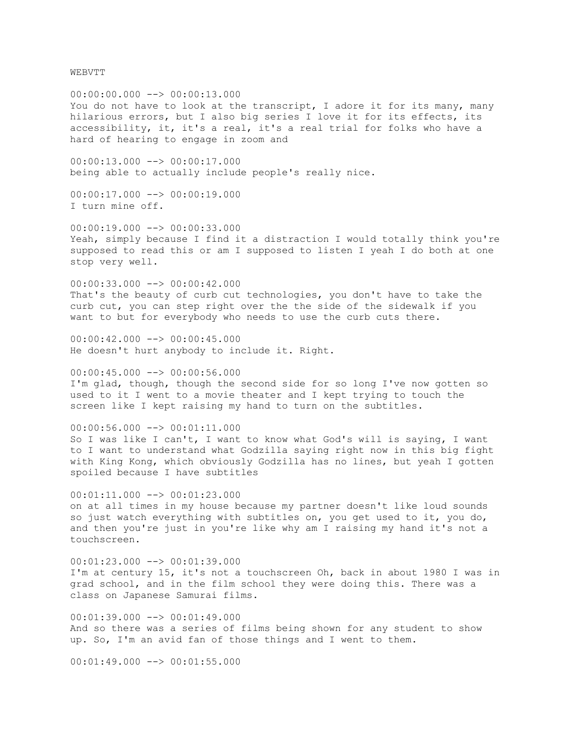## WEBVTT

 $00:00:00.000$   $\rightarrow$   $\rightarrow$  00:00:13.000 You do not have to look at the transcript, I adore it for its many, many hilarious errors, but I also big series I love it for its effects, its accessibility, it, it's a real, it's a real trial for folks who have a hard of hearing to engage in zoom and

00:00:13.000 --> 00:00:17.000 being able to actually include people's really nice.

 $00:00:17.000$   $\rightarrow$  00:00:19.000 I turn mine off.

 $00:00:19.000$  -->  $00:00:33.000$ Yeah, simply because I find it a distraction I would totally think you're supposed to read this or am I supposed to listen I yeah I do both at one stop very well.

00:00:33.000 --> 00:00:42.000 That's the beauty of curb cut technologies, you don't have to take the curb cut, you can step right over the the side of the sidewalk if you want to but for everybody who needs to use the curb cuts there.

 $00:00:42.000$   $\rightarrow$   $\rightarrow$  00:00:45.000 He doesn't hurt anybody to include it. Right.

 $00:00:45.000$   $\rightarrow$   $\rightarrow$  00:00:56.000 I'm glad, though, though the second side for so long I've now gotten so used to it I went to a movie theater and I kept trying to touch the screen like I kept raising my hand to turn on the subtitles.

00:00:56.000 --> 00:01:11.000

So I was like I can't, I want to know what God's will is saying, I want to I want to understand what Godzilla saying right now in this big fight with King Kong, which obviously Godzilla has no lines, but yeah I gotten spoiled because I have subtitles

 $00:01:11.000$  -->  $00:01:23.000$ on at all times in my house because my partner doesn't like loud sounds so just watch everything with subtitles on, you get used to it, you do, and then you're just in you're like why am I raising my hand it's not a touchscreen.

 $00:01:23.000$  -->  $00:01:39.000$ I'm at century 15, it's not a touchscreen Oh, back in about 1980 I was in grad school, and in the film school they were doing this. There was a class on Japanese Samurai films.

 $00:01:39.000$  -->  $00:01:49.000$ And so there was a series of films being shown for any student to show up. So, I'm an avid fan of those things and I went to them.

 $00:01:49.000$   $\longrightarrow$  00:01:55.000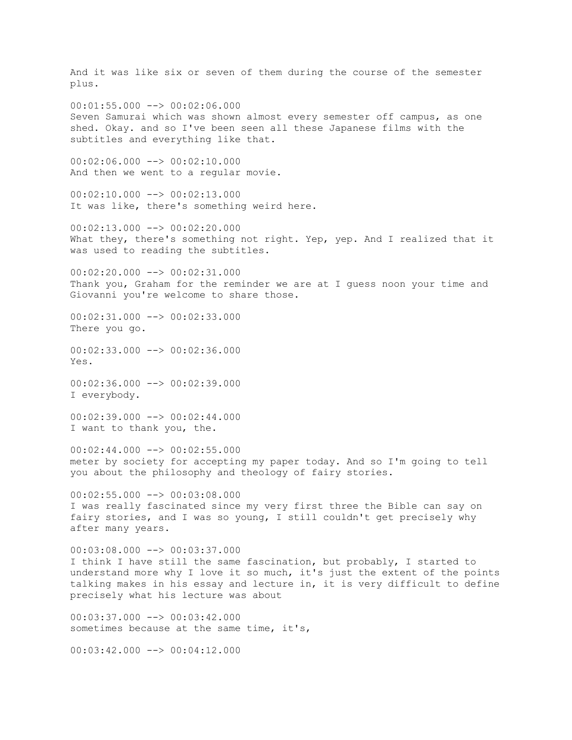And it was like six or seven of them during the course of the semester plus.  $00:01:55.000$   $\rightarrow$   $\rightarrow$  00:02:06.000 Seven Samurai which was shown almost every semester off campus, as one shed. Okay. and so I've been seen all these Japanese films with the subtitles and everything like that.  $00:02:06.000$  -->  $00:02:10.000$ And then we went to a regular movie. 00:02:10.000 --> 00:02:13.000 It was like, there's something weird here.  $00:02:13.000$  -->  $00:02:20.000$ What they, there's something not right. Yep, yep. And I realized that it was used to reading the subtitles. 00:02:20.000 --> 00:02:31.000 Thank you, Graham for the reminder we are at I guess noon your time and Giovanni you're welcome to share those. 00:02:31.000 --> 00:02:33.000 There you go. 00:02:33.000 --> 00:02:36.000 Yes. 00:02:36.000 --> 00:02:39.000 I everybody.  $00:02:39.000$  -->  $00:02:44.000$ I want to thank you, the.  $00:02:44.000$  -->  $00:02:55.000$ meter by society for accepting my paper today. And so I'm going to tell you about the philosophy and theology of fairy stories. 00:02:55.000 --> 00:03:08.000 I was really fascinated since my very first three the Bible can say on fairy stories, and I was so young, I still couldn't get precisely why after many years. 00:03:08.000 --> 00:03:37.000 I think I have still the same fascination, but probably, I started to understand more why I love it so much, it's just the extent of the points talking makes in his essay and lecture in, it is very difficult to define precisely what his lecture was about 00:03:37.000 --> 00:03:42.000 sometimes because at the same time, it's,  $00:03:42.000$  -->  $00:04:12.000$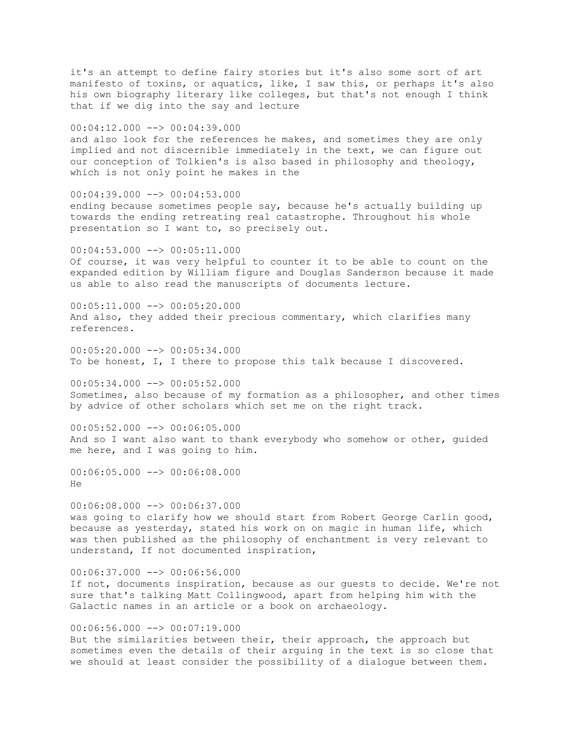it's an attempt to define fairy stories but it's also some sort of art manifesto of toxins, or aquatics, like, I saw this, or perhaps it's also his own biography literary like colleges, but that's not enough I think that if we dig into the say and lecture 00:04:12.000 --> 00:04:39.000 and also look for the references he makes, and sometimes they are only implied and not discernible immediately in the text, we can figure out our conception of Tolkien's is also based in philosophy and theology, which is not only point he makes in the  $00:04:39.000$  -->  $00:04:53.000$ ending because sometimes people say, because he's actually building up towards the ending retreating real catastrophe. Throughout his whole presentation so I want to, so precisely out. 00:04:53.000 --> 00:05:11.000 Of course, it was very helpful to counter it to be able to count on the expanded edition by William figure and Douglas Sanderson because it made us able to also read the manuscripts of documents lecture.  $00:05:11.000$  -->  $00:05:20.000$ And also, they added their precious commentary, which clarifies many references.  $00:05:20.000$  -->  $00:05:34.000$ To be honest, I, I there to propose this talk because I discovered. 00:05:34.000 --> 00:05:52.000 Sometimes, also because of my formation as a philosopher, and other times by advice of other scholars which set me on the right track.  $00:05:52.000$  -->  $00:06:05.000$ And so I want also want to thank everybody who somehow or other, guided me here, and I was going to him. 00:06:05.000 --> 00:06:08.000  $H \nightharpoonup$  $00:06:08.000$  -->  $00:06:37.000$ was going to clarify how we should start from Robert George Carlin good, because as yesterday, stated his work on on magic in human life, which was then published as the philosophy of enchantment is very relevant to understand, If not documented inspiration,  $00:06:37.000$  -->  $00:06:56.000$ If not, documents inspiration, because as our guests to decide. We're not sure that's talking Matt Collingwood, apart from helping him with the Galactic names in an article or a book on archaeology.

 $00:06:56.000$  -->  $00:07:19.000$ But the similarities between their, their approach, the approach but sometimes even the details of their arguing in the text is so close that we should at least consider the possibility of a dialogue between them.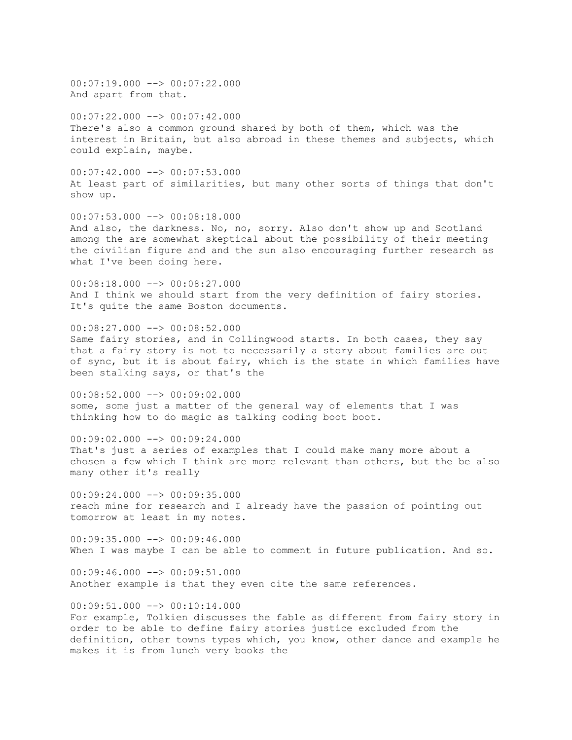$00:07:19.000$   $\rightarrow$   $00:07:22.000$ And apart from that.

00:07:22.000 --> 00:07:42.000 There's also a common ground shared by both of them, which was the interest in Britain, but also abroad in these themes and subjects, which could explain, maybe.

 $00:07:42.000$  -->  $00:07:53.000$ At least part of similarities, but many other sorts of things that don't show up.

00:07:53.000 --> 00:08:18.000 And also, the darkness. No, no, sorry. Also don't show up and Scotland among the are somewhat skeptical about the possibility of their meeting the civilian figure and and the sun also encouraging further research as what I've been doing here.

00:08:18.000 --> 00:08:27.000 And I think we should start from the very definition of fairy stories. It's quite the same Boston documents.

00:08:27.000 --> 00:08:52.000 Same fairy stories, and in Collingwood starts. In both cases, they say that a fairy story is not to necessarily a story about families are out of sync, but it is about fairy, which is the state in which families have been stalking says, or that's the

00:08:52.000 --> 00:09:02.000 some, some just a matter of the general way of elements that I was thinking how to do magic as talking coding boot boot.

 $00:09:02.000$   $\rightarrow$   $\rightarrow$  00:09:24.000 That's just a series of examples that I could make many more about a chosen a few which I think are more relevant than others, but the be also many other it's really

 $00:09:24.000$  -->  $00:09:35.000$ reach mine for research and I already have the passion of pointing out tomorrow at least in my notes.

 $00:09:35.000$  -->  $00:09:46.000$ When I was maybe I can be able to comment in future publication. And so.

 $00:09:46.000$   $\longrightarrow$  00:09:51.000 Another example is that they even cite the same references.

00:09:51.000 --> 00:10:14.000 For example, Tolkien discusses the fable as different from fairy story in order to be able to define fairy stories justice excluded from the definition, other towns types which, you know, other dance and example he makes it is from lunch very books the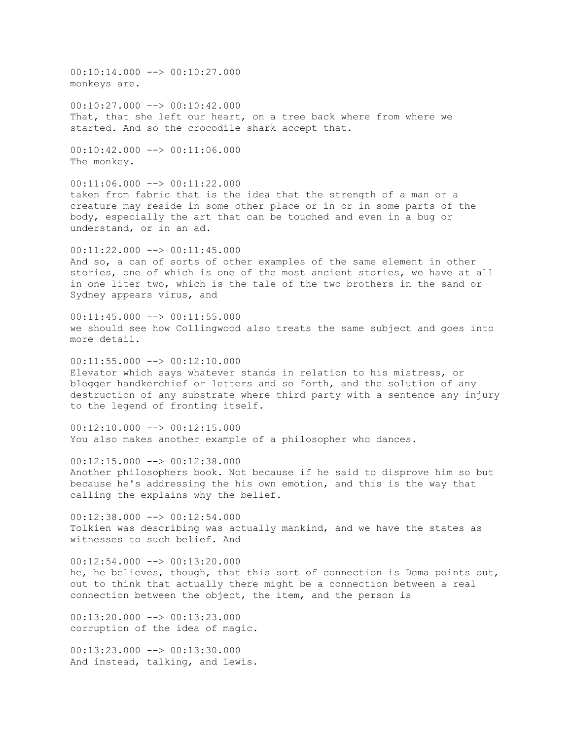00:10:14.000 --> 00:10:27.000 monkeys are.  $00:10:27.000$   $\rightarrow$   $00:10:42.000$ That, that she left our heart, on a tree back where from where we started. And so the crocodile shark accept that. 00:10:42.000 --> 00:11:06.000 The monkey.  $00:11:06.000$  -->  $00:11:22.000$ taken from fabric that is the idea that the strength of a man or a creature may reside in some other place or in or in some parts of the body, especially the art that can be touched and even in a bug or understand, or in an ad. 00:11:22.000 --> 00:11:45.000 And so, a can of sorts of other examples of the same element in other stories, one of which is one of the most ancient stories, we have at all in one liter two, which is the tale of the two brothers in the sand or Sydney appears virus, and 00:11:45.000 --> 00:11:55.000 we should see how Collingwood also treats the same subject and goes into more detail.  $00:11:55.000$  -->  $00:12:10.000$ Elevator which says whatever stands in relation to his mistress, or blogger handkerchief or letters and so forth, and the solution of any destruction of any substrate where third party with a sentence any injury to the legend of fronting itself.  $00:12:10.000$  -->  $00:12:15.000$ You also makes another example of a philosopher who dances.  $00:12:15.000$  -->  $00:12:38.000$ Another philosophers book. Not because if he said to disprove him so but because he's addressing the his own emotion, and this is the way that calling the explains why the belief. 00:12:38.000 --> 00:12:54.000 Tolkien was describing was actually mankind, and we have the states as witnesses to such belief. And  $00:12:54.000$  -->  $00:13:20.000$ he, he believes, though, that this sort of connection is Dema points out, out to think that actually there might be a connection between a real connection between the object, the item, and the person is  $00:13:20.000$  -->  $00:13:23.000$ corruption of the idea of magic.  $00:13:23.000$  -->  $00:13:30.000$ And instead, talking, and Lewis.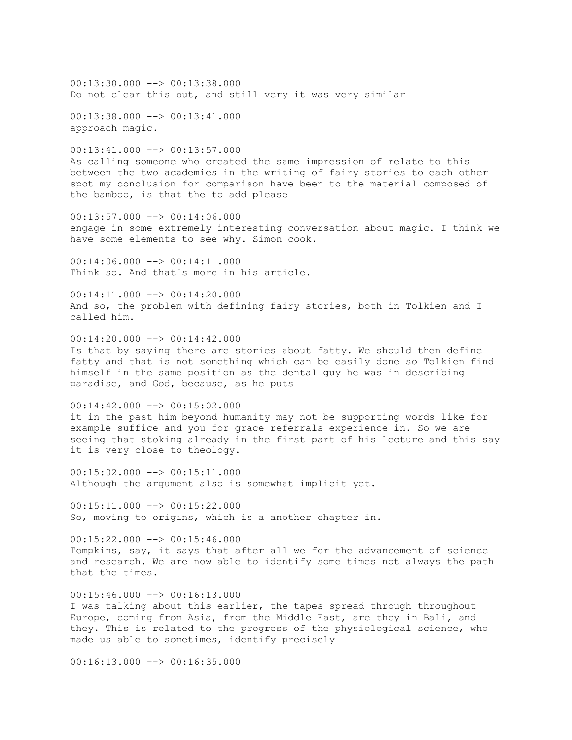$00:13:30.000$  -->  $00:13:38.000$ Do not clear this out, and still very it was very similar

00:13:38.000 --> 00:13:41.000 approach magic.

00:13:41.000 --> 00:13:57.000 As calling someone who created the same impression of relate to this between the two academies in the writing of fairy stories to each other spot my conclusion for comparison have been to the material composed of the bamboo, is that the to add please

00:13:57.000 --> 00:14:06.000 engage in some extremely interesting conversation about magic. I think we have some elements to see why. Simon cook.

 $00:14:06.000$  -->  $00:14:11.000$ Think so. And that's more in his article.

 $00:14:11.000$  -->  $00:14:20.000$ And so, the problem with defining fairy stories, both in Tolkien and I called him.

 $00:14:20.000$  -->  $00:14:42.000$ Is that by saying there are stories about fatty. We should then define fatty and that is not something which can be easily done so Tolkien find himself in the same position as the dental guy he was in describing paradise, and God, because, as he puts

00:14:42.000 --> 00:15:02.000 it in the past him beyond humanity may not be supporting words like for example suffice and you for grace referrals experience in. So we are seeing that stoking already in the first part of his lecture and this say it is very close to theology.

00:15:02.000 --> 00:15:11.000 Although the argument also is somewhat implicit yet.

 $00:15:11.000$   $\rightarrow$  00:15:22.000 So, moving to origins, which is a another chapter in.

00:15:22.000 --> 00:15:46.000 Tompkins, say, it says that after all we for the advancement of science and research. We are now able to identify some times not always the path that the times.

 $00:15:46.000$   $\longrightarrow$   $00:16:13.000$ I was talking about this earlier, the tapes spread through throughout Europe, coming from Asia, from the Middle East, are they in Bali, and they. This is related to the progress of the physiological science, who made us able to sometimes, identify precisely

 $00:16:13.000$   $\rightarrow$   $00:16:35.000$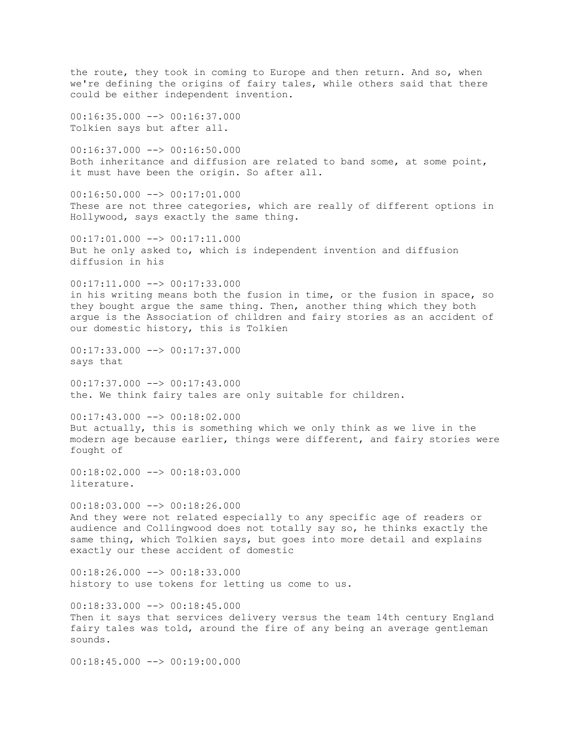the route, they took in coming to Europe and then return. And so, when we're defining the origins of fairy tales, while others said that there could be either independent invention. 00:16:35.000 --> 00:16:37.000 Tolkien says but after all. 00:16:37.000 --> 00:16:50.000 Both inheritance and diffusion are related to band some, at some point, it must have been the origin. So after all. 00:16:50.000 --> 00:17:01.000 These are not three categories, which are really of different options in Hollywood, says exactly the same thing. 00:17:01.000 --> 00:17:11.000 But he only asked to, which is independent invention and diffusion diffusion in his  $00:17:11.000$  -->  $00:17:33.000$ in his writing means both the fusion in time, or the fusion in space, so they bought argue the same thing. Then, another thing which they both argue is the Association of children and fairy stories as an accident of our domestic history, this is Tolkien 00:17:33.000 --> 00:17:37.000 says that 00:17:37.000 --> 00:17:43.000 the. We think fairy tales are only suitable for children.  $00:17:43.000$  -->  $00:18:02.000$ But actually, this is something which we only think as we live in the modern age because earlier, things were different, and fairy stories were fought of 00:18:02.000 --> 00:18:03.000 literature.  $00:18:03.000$  -->  $00:18:26.000$ And they were not related especially to any specific age of readers or audience and Collingwood does not totally say so, he thinks exactly the same thing, which Tolkien says, but goes into more detail and explains exactly our these accident of domestic  $00:18:26.000$  -->  $00:18:33.000$ history to use tokens for letting us come to us. 00:18:33.000 --> 00:18:45.000 Then it says that services delivery versus the team 14th century England fairy tales was told, around the fire of any being an average gentleman sounds.  $00:18:45.000$   $\longrightarrow$   $00:19:00.000$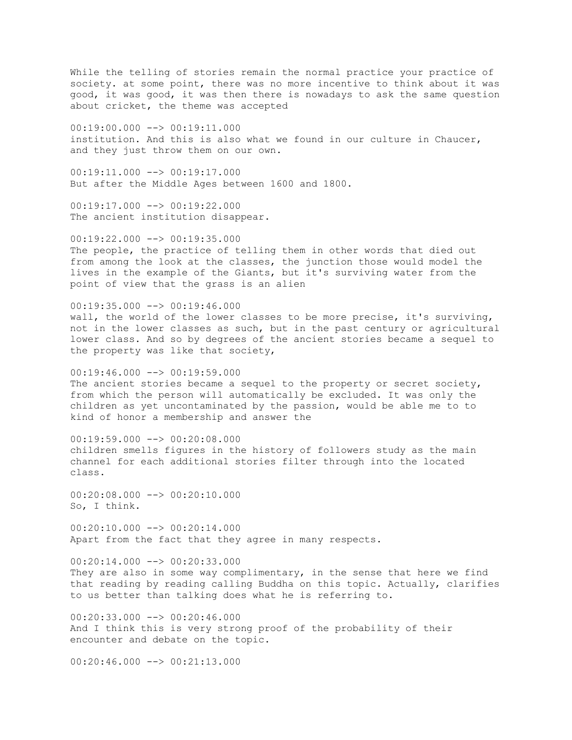While the telling of stories remain the normal practice your practice of society. at some point, there was no more incentive to think about it was good, it was good, it was then there is nowadays to ask the same question about cricket, the theme was accepted

 $00:19:00.000$  -->  $00:19:11.000$ institution. And this is also what we found in our culture in Chaucer, and they just throw them on our own.

 $00:19:11.000$  -->  $00:19:17.000$ But after the Middle Ages between 1600 and 1800.

00:19:17.000 --> 00:19:22.000 The ancient institution disappear.

 $00:19:22.000$  -->  $00:19:35.000$ The people, the practice of telling them in other words that died out from among the look at the classes, the junction those would model the lives in the example of the Giants, but it's surviving water from the point of view that the grass is an alien

00:19:35.000 --> 00:19:46.000 wall, the world of the lower classes to be more precise, it's surviving, not in the lower classes as such, but in the past century or agricultural lower class. And so by degrees of the ancient stories became a sequel to the property was like that society,

 $00:19:46.000$  -->  $00:19:59.000$ The ancient stories became a sequel to the property or secret society, from which the person will automatically be excluded. It was only the children as yet uncontaminated by the passion, would be able me to to kind of honor a membership and answer the

 $00:19:59.000$   $\longrightarrow$   $00:20:08.000$ children smells figures in the history of followers study as the main channel for each additional stories filter through into the located class.

00:20:08.000 --> 00:20:10.000 So, I think.

 $00:20:10.000$  -->  $00:20:14.000$ Apart from the fact that they agree in many respects.

 $00:20:14.000$  -->  $00:20:33.000$ They are also in some way complimentary, in the sense that here we find that reading by reading calling Buddha on this topic. Actually, clarifies to us better than talking does what he is referring to.

00:20:33.000 --> 00:20:46.000 And I think this is very strong proof of the probability of their encounter and debate on the topic.

 $00:20:46.000$   $\longrightarrow$   $00:21:13.000$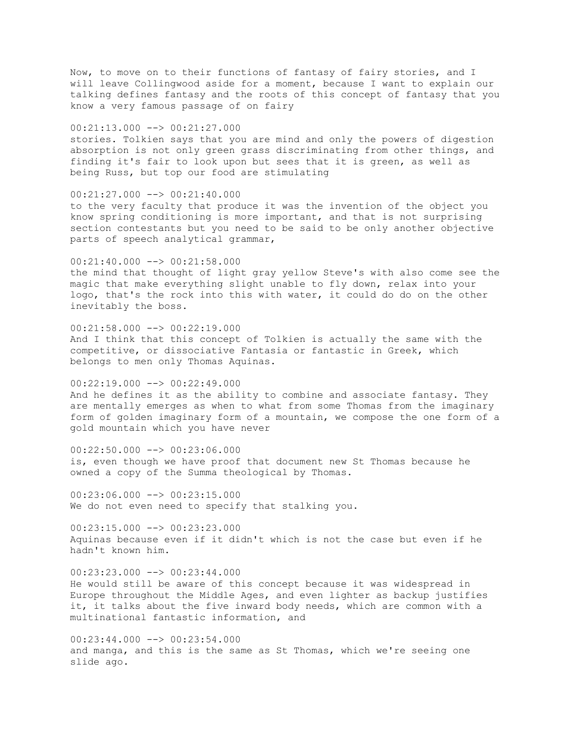Now, to move on to their functions of fantasy of fairy stories, and I will leave Collingwood aside for a moment, because I want to explain our talking defines fantasy and the roots of this concept of fantasy that you know a very famous passage of on fairy

#### 00:21:13.000 --> 00:21:27.000

stories. Tolkien says that you are mind and only the powers of digestion absorption is not only green grass discriminating from other things, and finding it's fair to look upon but sees that it is green, as well as being Russ, but top our food are stimulating

00:21:27.000 --> 00:21:40.000

to the very faculty that produce it was the invention of the object you know spring conditioning is more important, and that is not surprising section contestants but you need to be said to be only another objective parts of speech analytical grammar,

 $00:21:40.000$  -->  $00:21:58.000$ the mind that thought of light gray yellow Steve's with also come see the magic that make everything slight unable to fly down, relax into your logo, that's the rock into this with water, it could do do on the other inevitably the boss.

00:21:58.000 --> 00:22:19.000 And I think that this concept of Tolkien is actually the same with the competitive, or dissociative Fantasia or fantastic in Greek, which belongs to men only Thomas Aquinas.

00:22:19.000 --> 00:22:49.000 And he defines it as the ability to combine and associate fantasy. They are mentally emerges as when to what from some Thomas from the imaginary form of golden imaginary form of a mountain, we compose the one form of a gold mountain which you have never

00:22:50.000 --> 00:23:06.000 is, even though we have proof that document new St Thomas because he owned a copy of the Summa theological by Thomas.

 $00:23:06.000$  -->  $00:23:15.000$ We do not even need to specify that stalking you.

00:23:15.000 --> 00:23:23.000 Aquinas because even if it didn't which is not the case but even if he hadn't known him.

 $00:23:23.000$  -->  $00:23:44.000$ He would still be aware of this concept because it was widespread in Europe throughout the Middle Ages, and even lighter as backup justifies it, it talks about the five inward body needs, which are common with a multinational fantastic information, and

 $00:23:44.000$   $\longrightarrow$   $00:23:54.000$ and manga, and this is the same as St Thomas, which we're seeing one slide ago.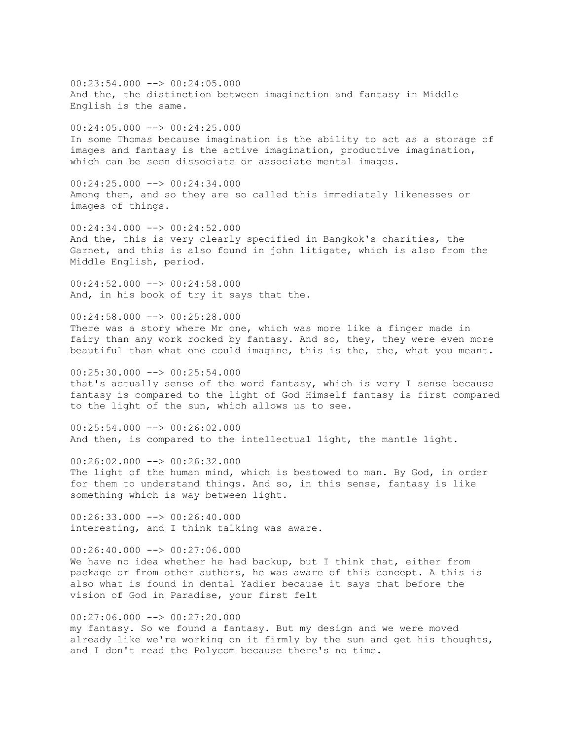$00:23:54.000$  -->  $00:24:05.000$ And the, the distinction between imagination and fantasy in Middle English is the same.

00:24:05.000 --> 00:24:25.000 In some Thomas because imagination is the ability to act as a storage of images and fantasy is the active imagination, productive imagination, which can be seen dissociate or associate mental images.

 $00:24:25.000$  -->  $00:24:34.000$ Among them, and so they are so called this immediately likenesses or images of things.

00:24:34.000 --> 00:24:52.000 And the, this is very clearly specified in Bangkok's charities, the Garnet, and this is also found in john litigate, which is also from the Middle English, period.

00:24:52.000 --> 00:24:58.000 And, in his book of try it says that the.

00:24:58.000 --> 00:25:28.000 There was a story where Mr one, which was more like a finger made in fairy than any work rocked by fantasy. And so, they, they were even more beautiful than what one could imagine, this is the, the, what you meant.

 $00:25:30.000$  -->  $00:25:54.000$ that's actually sense of the word fantasy, which is very I sense because fantasy is compared to the light of God Himself fantasy is first compared to the light of the sun, which allows us to see.

 $00:25:54.000$  -->  $00:26:02.000$ And then, is compared to the intellectual light, the mantle light.

 $00:26:02.000$  -->  $00:26:32.000$ The light of the human mind, which is bestowed to man. By God, in order for them to understand things. And so, in this sense, fantasy is like something which is way between light.

 $00:26:33.000$  -->  $00:26:40.000$ interesting, and I think talking was aware.

00:26:40.000 --> 00:27:06.000 We have no idea whether he had backup, but I think that, either from package or from other authors, he was aware of this concept. A this is also what is found in dental Yadier because it says that before the vision of God in Paradise, your first felt

 $00:27:06.000$  -->  $00:27:20.000$ my fantasy. So we found a fantasy. But my design and we were moved already like we're working on it firmly by the sun and get his thoughts, and I don't read the Polycom because there's no time.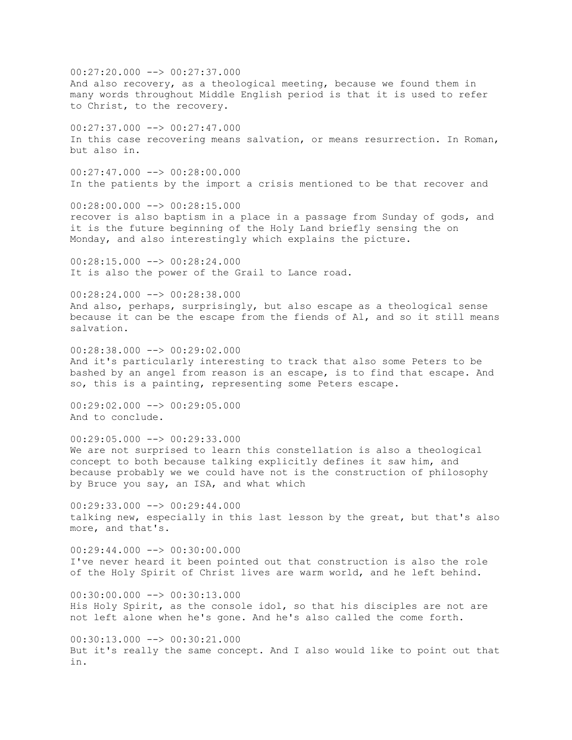$00:27:20.000$  -->  $00:27:37.000$ And also recovery, as a theological meeting, because we found them in many words throughout Middle English period is that it is used to refer to Christ, to the recovery. 00:27:37.000 --> 00:27:47.000 In this case recovering means salvation, or means resurrection. In Roman, but also in.  $00:27:47.000$  -->  $00:28:00.000$ In the patients by the import a crisis mentioned to be that recover and  $00:28:00.000$  -->  $00:28:15.000$ recover is also baptism in a place in a passage from Sunday of gods, and it is the future beginning of the Holy Land briefly sensing the on Monday, and also interestingly which explains the picture.  $00:28:15.000$  -->  $00:28:24.000$ It is also the power of the Grail to Lance road. 00:28:24.000 --> 00:28:38.000 And also, perhaps, surprisingly, but also escape as a theological sense because it can be the escape from the fiends of Al, and so it still means salvation. 00:28:38.000 --> 00:29:02.000 And it's particularly interesting to track that also some Peters to be bashed by an angel from reason is an escape, is to find that escape. And so, this is a painting, representing some Peters escape. 00:29:02.000 --> 00:29:05.000 And to conclude.  $00:29:05.000$  -->  $00:29:33.000$ We are not surprised to learn this constellation is also a theological concept to both because talking explicitly defines it saw him, and because probably we we could have not is the construction of philosophy by Bruce you say, an ISA, and what which  $00:29:33.000$   $\rightarrow$   $\rightarrow$  00:29:44.000 talking new, especially in this last lesson by the great, but that's also more, and that's. 00:29:44.000 --> 00:30:00.000 I've never heard it been pointed out that construction is also the role of the Holy Spirit of Christ lives are warm world, and he left behind.  $00:30:00.000$   $\rightarrow$   $\rightarrow$  00:30:13.000 His Holy Spirit, as the console idol, so that his disciples are not are not left alone when he's gone. And he's also called the come forth.  $00:30:13.000$  -->  $00:30:21.000$ But it's really the same concept. And I also would like to point out that in.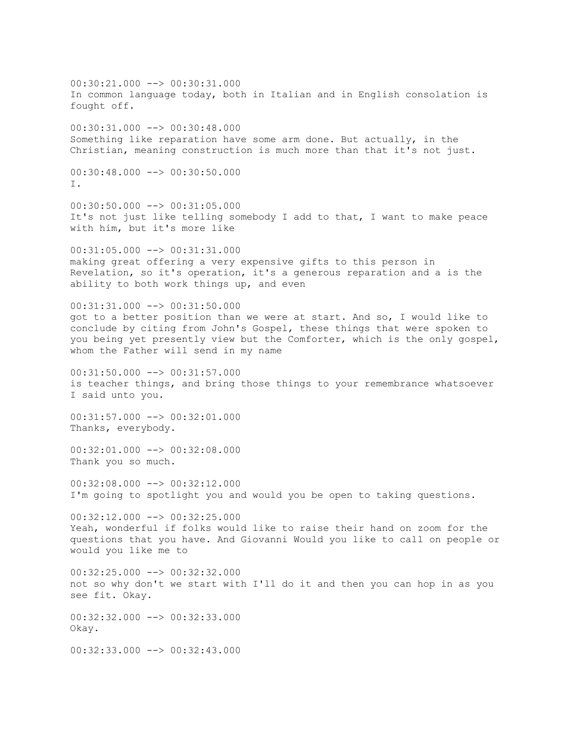00:30:21.000 --> 00:30:31.000 In common language today, both in Italian and in English consolation is fought off. 00:30:31.000 --> 00:30:48.000 Something like reparation have some arm done. But actually, in the Christian, meaning construction is much more than that it's not just.  $00:30:48.000$  -->  $00:30:50.000$  $T$ .  $00:30:50.000$  -->  $00:31:05.000$ It's not just like telling somebody I add to that, I want to make peace with him, but it's more like 00:31:05.000 --> 00:31:31.000 making great offering a very expensive gifts to this person in Revelation, so it's operation, it's a generous reparation and a is the ability to both work things up, and even 00:31:31.000 --> 00:31:50.000 got to a better position than we were at start. And so, I would like to conclude by citing from John's Gospel, these things that were spoken to you being yet presently view but the Comforter, which is the only gospel, whom the Father will send in my name  $00:31:50.000$  -->  $00:31:57.000$ is teacher things, and bring those things to your remembrance whatsoever I said unto you.  $00:31:57.000$  -->  $00:32:01.000$ Thanks, everybody. 00:32:01.000 --> 00:32:08.000 Thank you so much.  $00:32:08.000$  -->  $00:32:12.000$ I'm going to spotlight you and would you be open to taking questions.  $00:32:12.000$  -->  $00:32:25.000$ Yeah, wonderful if folks would like to raise their hand on zoom for the questions that you have. And Giovanni Would you like to call on people or would you like me to  $00:32:25.000$   $\rightarrow$   $00:32:32.000$ not so why don't we start with I'll do it and then you can hop in as you see fit. Okay. 00:32:32.000 --> 00:32:33.000 Okay.  $00:32:33.000$  -->  $00:32:43.000$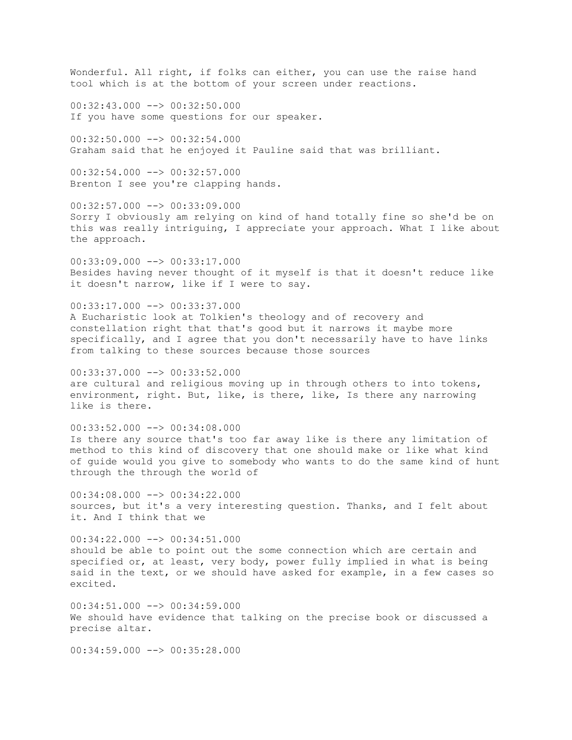Wonderful. All right, if folks can either, you can use the raise hand tool which is at the bottom of your screen under reactions.

 $00:32:43.000$   $\rightarrow$   $\rightarrow$  00:32:50.000 If you have some questions for our speaker.

 $00:32:50.000$  -->  $00:32:54.000$ Graham said that he enjoyed it Pauline said that was brilliant.

00:32:54.000 --> 00:32:57.000 Brenton I see you're clapping hands.

 $00:32:57.000$  -->  $00:33:09.000$ Sorry I obviously am relying on kind of hand totally fine so she'd be on this was really intriguing, I appreciate your approach. What I like about the approach.

00:33:09.000 --> 00:33:17.000 Besides having never thought of it myself is that it doesn't reduce like it doesn't narrow, like if I were to say.

00:33:17.000 --> 00:33:37.000 A Eucharistic look at Tolkien's theology and of recovery and constellation right that that's good but it narrows it maybe more specifically, and I agree that you don't necessarily have to have links from talking to these sources because those sources

 $00:33:37.000$  -->  $00:33:52.000$ are cultural and religious moving up in through others to into tokens, environment, right. But, like, is there, like, Is there any narrowing like is there.

 $00:33:52.000$  -->  $00:34:08.000$ Is there any source that's too far away like is there any limitation of method to this kind of discovery that one should make or like what kind of guide would you give to somebody who wants to do the same kind of hunt through the through the world of

00:34:08.000 --> 00:34:22.000 sources, but it's a very interesting question. Thanks, and I felt about it. And I think that we

00:34:22.000 --> 00:34:51.000 should be able to point out the some connection which are certain and specified or, at least, very body, power fully implied in what is being said in the text, or we should have asked for example, in a few cases so excited.

00:34:51.000 --> 00:34:59.000 We should have evidence that talking on the precise book or discussed a precise altar.

 $00:34:59.000$  -->  $00:35:28.000$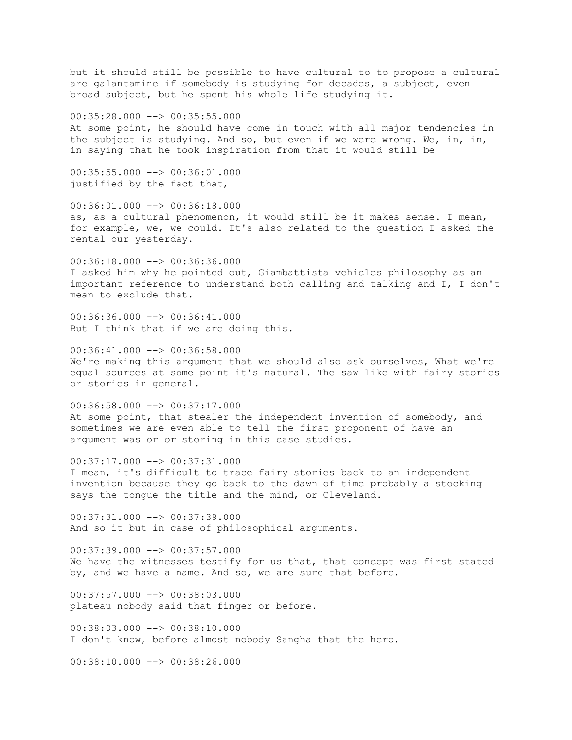but it should still be possible to have cultural to to propose a cultural are galantamine if somebody is studying for decades, a subject, even broad subject, but he spent his whole life studying it.  $00:35:28.000$  -->  $00:35:55.000$ At some point, he should have come in touch with all major tendencies in the subject is studying. And so, but even if we were wrong. We, in, in, in saying that he took inspiration from that it would still be  $00:35:55.000$  -->  $00:36:01.000$ justified by the fact that, 00:36:01.000 --> 00:36:18.000 as, as a cultural phenomenon, it would still be it makes sense. I mean, for example, we, we could. It's also related to the question I asked the rental our yesterday.  $00:36:18.000$  -->  $00:36:36.000$ I asked him why he pointed out, Giambattista vehicles philosophy as an important reference to understand both calling and talking and I, I don't mean to exclude that. 00:36:36.000 --> 00:36:41.000 But I think that if we are doing this. 00:36:41.000 --> 00:36:58.000 We're making this argument that we should also ask ourselves, What we're equal sources at some point it's natural. The saw like with fairy stories or stories in general. 00:36:58.000 --> 00:37:17.000 At some point, that stealer the independent invention of somebody, and sometimes we are even able to tell the first proponent of have an argument was or or storing in this case studies.  $00:37:17.000$   $\longrightarrow$   $00:37:31.000$ I mean, it's difficult to trace fairy stories back to an independent invention because they go back to the dawn of time probably a stocking says the tongue the title and the mind, or Cleveland. 00:37:31.000 --> 00:37:39.000 And so it but in case of philosophical arguments. 00:37:39.000 --> 00:37:57.000 We have the witnesses testify for us that, that concept was first stated by, and we have a name. And so, we are sure that before.  $00:37:57.000$  -->  $00:38:03.000$ plateau nobody said that finger or before. 00:38:03.000 --> 00:38:10.000 I don't know, before almost nobody Sangha that the hero.  $00:38:10.000$   $\longrightarrow$   $00:38:26.000$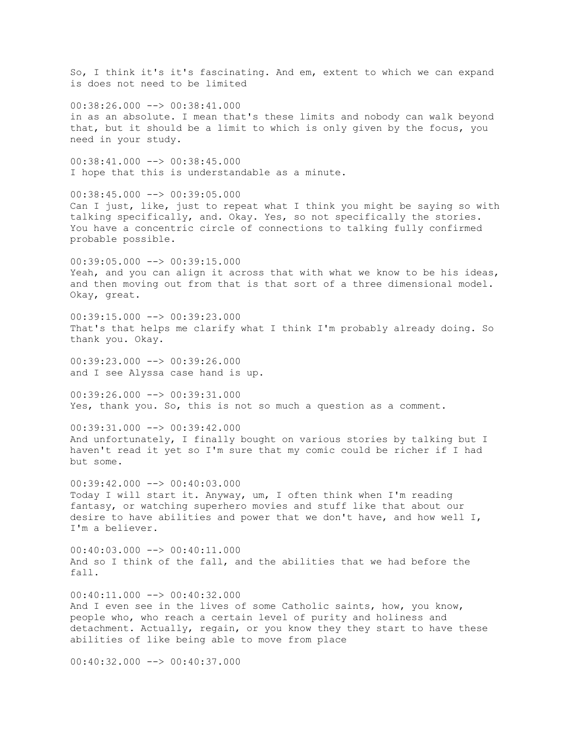So, I think it's it's fascinating. And em, extent to which we can expand is does not need to be limited  $00:38:26.000$  -->  $00:38:41.000$ in as an absolute. I mean that's these limits and nobody can walk beyond that, but it should be a limit to which is only given by the focus, you need in your study.  $00:38:41.000$  -->  $00:38:45.000$ I hope that this is understandable as a minute.  $00:38:45.000$  -->  $00:39:05.000$ Can I just, like, just to repeat what I think you might be saying so with talking specifically, and. Okay. Yes, so not specifically the stories. You have a concentric circle of connections to talking fully confirmed probable possible.  $00:39:05.000$  -->  $00:39:15.000$ Yeah, and you can align it across that with what we know to be his ideas, and then moving out from that is that sort of a three dimensional model. Okay, great. 00:39:15.000 --> 00:39:23.000 That's that helps me clarify what I think I'm probably already doing. So thank you. Okay.  $00:39:23.000$  -->  $00:39:26.000$ and I see Alyssa case hand is up. 00:39:26.000 --> 00:39:31.000 Yes, thank you. So, this is not so much a question as a comment.  $00:39:31.000$  -->  $00:39:42.000$ And unfortunately, I finally bought on various stories by talking but I haven't read it yet so I'm sure that my comic could be richer if I had but some.  $00:39:42.000$  -->  $00:40:03.000$ Today I will start it. Anyway, um, I often think when I'm reading fantasy, or watching superhero movies and stuff like that about our desire to have abilities and power that we don't have, and how well I, I'm a believer. 00:40:03.000 --> 00:40:11.000 And so I think of the fall, and the abilities that we had before the fall.  $00:40:11.000$   $\longrightarrow$  00:40:32.000 And I even see in the lives of some Catholic saints, how, you know, people who, who reach a certain level of purity and holiness and detachment. Actually, regain, or you know they they start to have these abilities of like being able to move from place  $00:40:32.000$  -->  $00:40:37.000$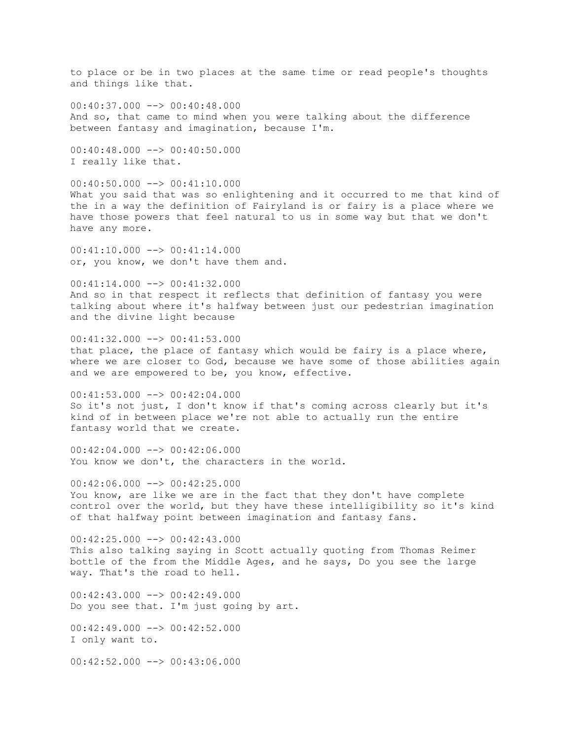to place or be in two places at the same time or read people's thoughts and things like that.  $00:40:37.000$   $\longrightarrow$  00:40:48.000 And so, that came to mind when you were talking about the difference between fantasy and imagination, because I'm. 00:40:48.000 --> 00:40:50.000 I really like that.  $00:40:50.000$  -->  $00:41:10.000$ What you said that was so enlightening and it occurred to me that kind of the in a way the definition of Fairyland is or fairy is a place where we have those powers that feel natural to us in some way but that we don't have any more. 00:41:10.000 --> 00:41:14.000 or, you know, we don't have them and. 00:41:14.000 --> 00:41:32.000 And so in that respect it reflects that definition of fantasy you were talking about where it's halfway between just our pedestrian imagination and the divine light because  $00:41:32.000$  -->  $00:41:53.000$ that place, the place of fantasy which would be fairy is a place where, where we are closer to God, because we have some of those abilities again and we are empowered to be, you know, effective. 00:41:53.000 --> 00:42:04.000 So it's not just, I don't know if that's coming across clearly but it's kind of in between place we're not able to actually run the entire fantasy world that we create.  $00:42:04.000$  -->  $00:42:06.000$ You know we don't, the characters in the world.  $00:42:06.000$  -->  $00:42:25.000$ You know, are like we are in the fact that they don't have complete control over the world, but they have these intelligibility so it's kind of that halfway point between imagination and fantasy fans. 00:42:25.000 --> 00:42:43.000 This also talking saying in Scott actually quoting from Thomas Reimer bottle of the from the Middle Ages, and he says, Do you see the large way. That's the road to hell.  $00:42:43.000$   $\longrightarrow$   $00:42:49.000$ Do you see that. I'm just going by art. 00:42:49.000 --> 00:42:52.000 I only want to.

 $00:42:52.000$   $\rightarrow$   $\rightarrow$  00:43:06.000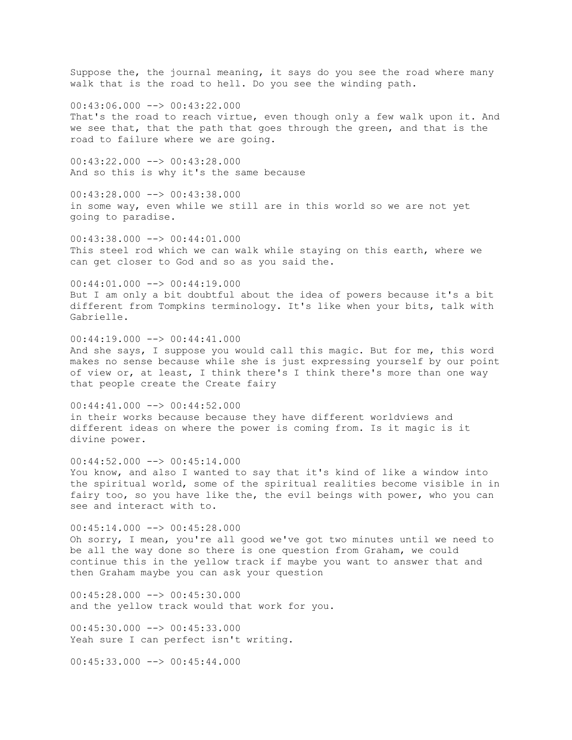Suppose the, the journal meaning, it says do you see the road where many walk that is the road to hell. Do you see the winding path.

 $00:43:06.000$   $\longrightarrow$  00:43:22.000 That's the road to reach virtue, even though only a few walk upon it. And we see that, that the path that goes through the green, and that is the road to failure where we are going.

00:43:22.000 --> 00:43:28.000 And so this is why it's the same because

00:43:28.000 --> 00:43:38.000 in some way, even while we still are in this world so we are not yet going to paradise.

 $00:43:38.000$   $\rightarrow$   $\rightarrow$  00:44:01.000 This steel rod which we can walk while staying on this earth, where we can get closer to God and so as you said the.

00:44:01.000 --> 00:44:19.000 But I am only a bit doubtful about the idea of powers because it's a bit different from Tompkins terminology. It's like when your bits, talk with Gabrielle.

 $00:44:19.000$  -->  $00:44:41.000$ And she says, I suppose you would call this magic. But for me, this word makes no sense because while she is just expressing yourself by our point of view or, at least, I think there's I think there's more than one way that people create the Create fairy

00:44:41.000 --> 00:44:52.000 in their works because because they have different worldviews and different ideas on where the power is coming from. Is it magic is it divine power.

 $00:44:52.000$  -->  $00:45:14.000$ You know, and also I wanted to say that it's kind of like a window into the spiritual world, some of the spiritual realities become visible in in fairy too, so you have like the, the evil beings with power, who you can see and interact with to.

00:45:14.000 --> 00:45:28.000 Oh sorry, I mean, you're all good we've got two minutes until we need to be all the way done so there is one question from Graham, we could continue this in the yellow track if maybe you want to answer that and then Graham maybe you can ask your question

 $00:45:28.000$   $\longrightarrow$   $00:45:30.000$ and the yellow track would that work for you.

00:45:30.000 --> 00:45:33.000 Yeah sure I can perfect isn't writing.

 $00:45:33.000$   $\rightarrow$   $\rightarrow$  00:45:44.000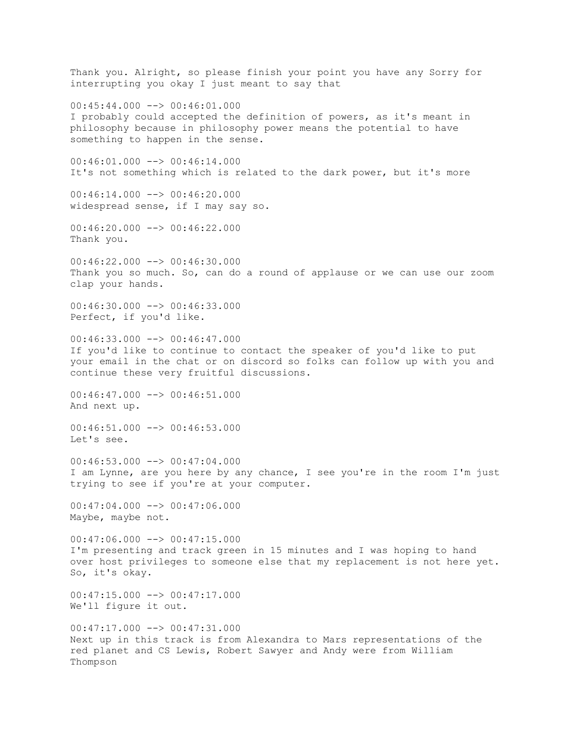Thank you. Alright, so please finish your point you have any Sorry for interrupting you okay I just meant to say that  $00:45:44.000$   $\longrightarrow$  00:46:01.000 I probably could accepted the definition of powers, as it's meant in philosophy because in philosophy power means the potential to have something to happen in the sense. 00:46:01.000 --> 00:46:14.000 It's not something which is related to the dark power, but it's more  $00:46:14.000$  -->  $00:46:20.000$ widespread sense, if I may say so.  $00:46:20.000$  -->  $00:46:22.000$ Thank you.  $00:46:22.000$  -->  $00:46:30.000$ Thank you so much. So, can do a round of applause or we can use our zoom clap your hands.  $00:46:30.000$  -->  $00:46:33.000$ Perfect, if you'd like.  $00:46:33.000$  -->  $00:46:47.000$ If you'd like to continue to contact the speaker of you'd like to put your email in the chat or on discord so folks can follow up with you and continue these very fruitful discussions. 00:46:47.000 --> 00:46:51.000 And next up.  $00:46:51.000$  -->  $00:46:53.000$ Let's see.  $00:46:53.000$  -->  $00:47:04.000$ I am Lynne, are you here by any chance, I see you're in the room I'm just trying to see if you're at your computer.  $00:47:04.000$  -->  $00:47:06.000$ Maybe, maybe not.  $00:47:06.000$  -->  $00:47:15.000$ I'm presenting and track green in 15 minutes and I was hoping to hand over host privileges to someone else that my replacement is not here yet. So, it's okay.  $00:47:15.000$   $\longrightarrow$   $00:47:17.000$ We'll figure it out. 00:47:17.000 --> 00:47:31.000 Next up in this track is from Alexandra to Mars representations of the red planet and CS Lewis, Robert Sawyer and Andy were from William Thompson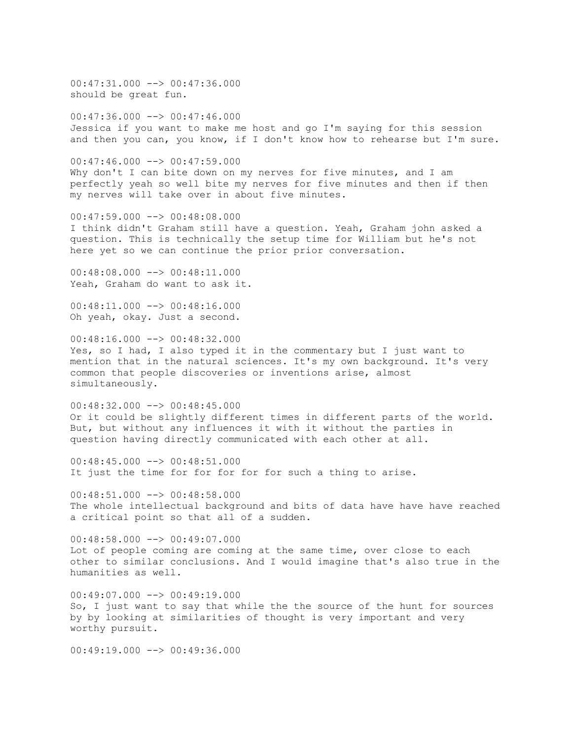00:47:31.000 --> 00:47:36.000 should be great fun.

 $00:47:36.000$  -->  $00:47:46.000$ Jessica if you want to make me host and go I'm saying for this session and then you can, you know, if I don't know how to rehearse but I'm sure.

 $00:47:46.000$  -->  $00:47:59.000$ Why don't I can bite down on my nerves for five minutes, and I am perfectly yeah so well bite my nerves for five minutes and then if then my nerves will take over in about five minutes.

 $00:47:59.000$  -->  $00:48:08.000$ I think didn't Graham still have a question. Yeah, Graham john asked a question. This is technically the setup time for William but he's not here yet so we can continue the prior prior conversation.

00:48:08.000 --> 00:48:11.000 Yeah, Graham do want to ask it.

 $00:48:11.000$  -->  $00:48:16.000$ Oh yeah, okay. Just a second.

 $00:48:16.000$  -->  $00:48:32.000$ Yes, so I had, I also typed it in the commentary but I just want to mention that in the natural sciences. It's my own background. It's very common that people discoveries or inventions arise, almost simultaneously.

00:48:32.000 --> 00:48:45.000 Or it could be slightly different times in different parts of the world. But, but without any influences it with it without the parties in question having directly communicated with each other at all.

 $00:48:45.000$  -->  $00:48:51.000$ It just the time for for for for for such a thing to arise.

 $00:48:51.000$  -->  $00:48:58.000$ The whole intellectual background and bits of data have have have reached a critical point so that all of a sudden.

00:48:58.000 --> 00:49:07.000 Lot of people coming are coming at the same time, over close to each other to similar conclusions. And I would imagine that's also true in the humanities as well.

 $00:49:07.000$   $\longrightarrow$  00:49:19.000 So, I just want to say that while the the source of the hunt for sources by by looking at similarities of thought is very important and very worthy pursuit.

 $00:49:19.000$  -->  $00:49:36.000$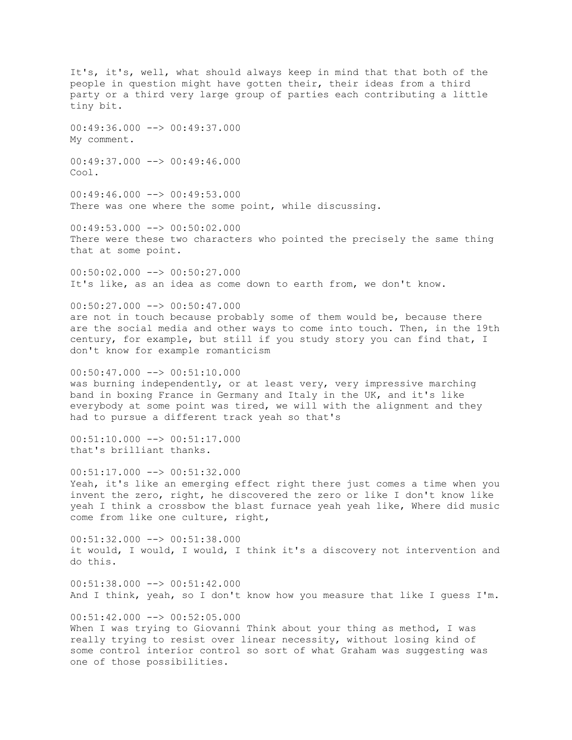It's, it's, well, what should always keep in mind that that both of the people in question might have gotten their, their ideas from a third party or a third very large group of parties each contributing a little tiny bit. 00:49:36.000 --> 00:49:37.000 My comment. 00:49:37.000 --> 00:49:46.000 Cool.  $00:49:46.000$  -->  $00:49:53.000$ There was one where the some point, while discussing.  $00:49:53.000$  -->  $00:50:02.000$ There were these two characters who pointed the precisely the same thing that at some point. 00:50:02.000 --> 00:50:27.000 It's like, as an idea as come down to earth from, we don't know.  $00:50:27.000$   $\rightarrow$   $\rightarrow$  00:50:47.000 are not in touch because probably some of them would be, because there are the social media and other ways to come into touch. Then, in the 19th century, for example, but still if you study story you can find that, I don't know for example romanticism 00:50:47.000 --> 00:51:10.000 was burning independently, or at least very, very impressive marching band in boxing France in Germany and Italy in the UK, and it's like everybody at some point was tired, we will with the alignment and they had to pursue a different track yeah so that's  $00:51:10.000$  -->  $00:51:17.000$ that's brilliant thanks. 00:51:17.000 --> 00:51:32.000 Yeah, it's like an emerging effect right there just comes a time when you invent the zero, right, he discovered the zero or like I don't know like yeah I think a crossbow the blast furnace yeah yeah like, Where did music come from like one culture, right, 00:51:32.000 --> 00:51:38.000 it would, I would, I would, I think it's a discovery not intervention and do this.  $00:51:38.000$  -->  $00:51:42.000$ And I think, yeah, so I don't know how you measure that like I guess I'm. 00:51:42.000 --> 00:52:05.000 When I was trying to Giovanni Think about your thing as method, I was really trying to resist over linear necessity, without losing kind of some control interior control so sort of what Graham was suggesting was one of those possibilities.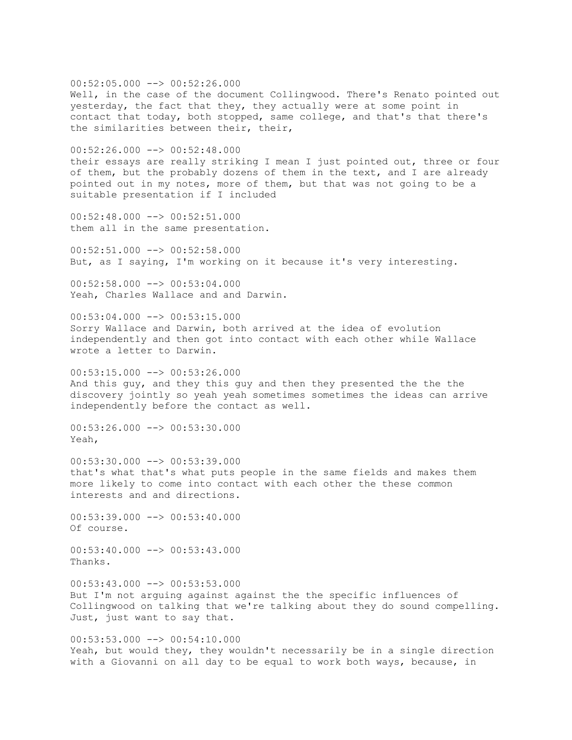Well, in the case of the document Collingwood. There's Renato pointed out yesterday, the fact that they, they actually were at some point in contact that today, both stopped, same college, and that's that there's the similarities between their, their, 00:52:26.000 --> 00:52:48.000 their essays are really striking I mean I just pointed out, three or four of them, but the probably dozens of them in the text, and I are already pointed out in my notes, more of them, but that was not going to be a suitable presentation if I included 00:52:48.000 --> 00:52:51.000 them all in the same presentation. 00:52:51.000 --> 00:52:58.000 But, as I saying, I'm working on it because it's very interesting. 00:52:58.000 --> 00:53:04.000 Yeah, Charles Wallace and and Darwin. 00:53:04.000 --> 00:53:15.000 Sorry Wallace and Darwin, both arrived at the idea of evolution independently and then got into contact with each other while Wallace wrote a letter to Darwin.  $00:53:15.000$   $\rightarrow$   $\rightarrow$  00:53:26.000 And this guy, and they this guy and then they presented the the the discovery jointly so yeah yeah sometimes sometimes the ideas can arrive independently before the contact as well.  $00:53:26.000$  -->  $00:53:30.000$ Yeah,  $00:53:30.000$  -->  $00:53:39.000$ that's what that's what puts people in the same fields and makes them more likely to come into contact with each other the these common interests and and directions. 00:53:39.000 --> 00:53:40.000 Of course. 00:53:40.000 --> 00:53:43.000 Thanks.  $00:53:43.000$  -->  $00:53:53.000$ But I'm not arguing against against the the specific influences of Collingwood on talking that we're talking about they do sound compelling. Just, just want to say that.  $00:53:53.000$  -->  $00:54:10.000$ Yeah, but would they, they wouldn't necessarily be in a single direction with a Giovanni on all day to be equal to work both ways, because, in

 $00:52:05.000$  -->  $00:52:26.000$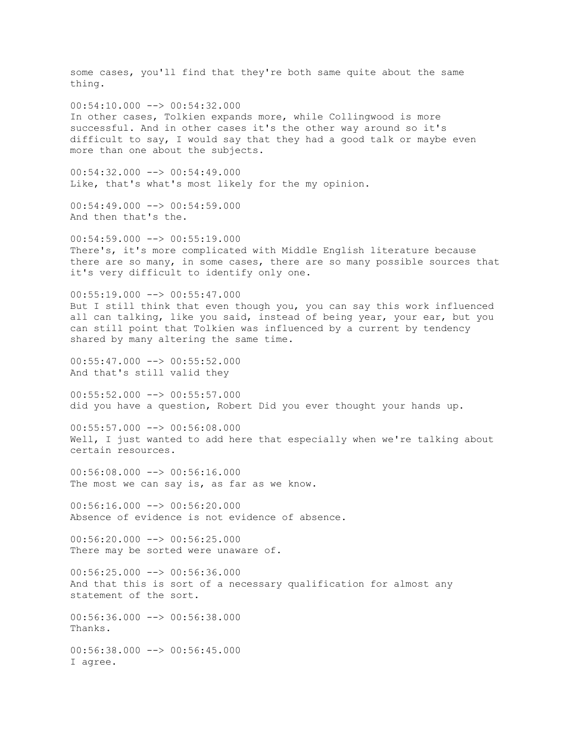some cases, you'll find that they're both same quite about the same thing.  $00:54:10.000$   $\longrightarrow$  00:54:32.000 In other cases, Tolkien expands more, while Collingwood is more successful. And in other cases it's the other way around so it's difficult to say, I would say that they had a good talk or maybe even more than one about the subjects. 00:54:32.000 --> 00:54:49.000 Like, that's what's most likely for the my opinion.  $00:54:49.000$  -->  $00:54:59.000$ And then that's the.  $00:54:59.000$   $\rightarrow$   $\rightarrow$  00:55:19.000 There's, it's more complicated with Middle English literature because there are so many, in some cases, there are so many possible sources that it's very difficult to identify only one. 00:55:19.000 --> 00:55:47.000 But I still think that even though you, you can say this work influenced all can talking, like you said, instead of being year, your ear, but you can still point that Tolkien was influenced by a current by tendency shared by many altering the same time. 00:55:47.000 --> 00:55:52.000 And that's still valid they 00:55:52.000 --> 00:55:57.000 did you have a question, Robert Did you ever thought your hands up.  $00:55:57.000$  -->  $00:56:08.000$ Well, I just wanted to add here that especially when we're talking about certain resources. 00:56:08.000 --> 00:56:16.000 The most we can say is, as far as we know.  $00:56:16.000$   $\rightarrow$   $00:56:20.000$ Absence of evidence is not evidence of absence.  $00:56:20.000$  -->  $00:56:25.000$ There may be sorted were unaware of.  $00:56:25.000$   $\rightarrow$   $\rightarrow$  00:56:36.000 And that this is sort of a necessary qualification for almost any statement of the sort.  $00:56:36.000$  -->  $00:56:38.000$ Thanks.  $00:56:38.000$  -->  $00:56:45.000$ I agree.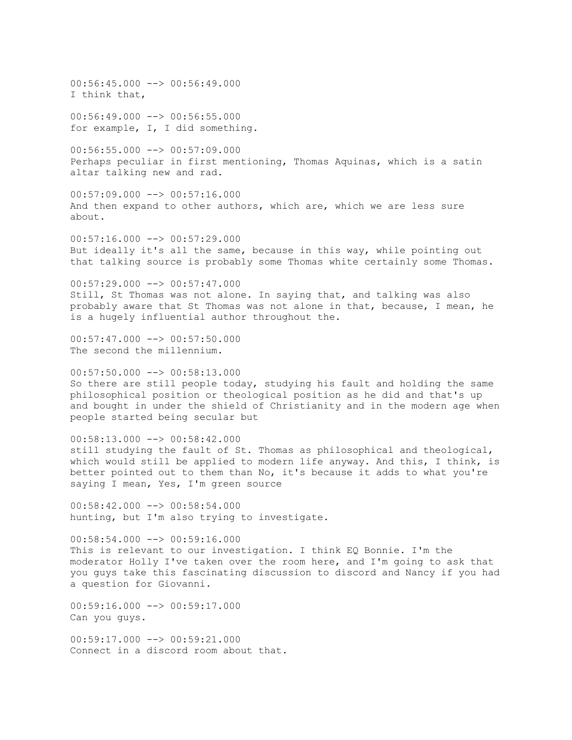$00:56:45.000$  -->  $00:56:49.000$ I think that,  $00:56:49.000$  -->  $00:56:55.000$ for example, I, I did something. 00:56:55.000 --> 00:57:09.000 Perhaps peculiar in first mentioning, Thomas Aquinas, which is a satin altar talking new and rad.  $00:57:09.000$  -->  $00:57:16.000$ And then expand to other authors, which are, which we are less sure about.  $00:57:16.000$  -->  $00:57:29.000$ But ideally it's all the same, because in this way, while pointing out that talking source is probably some Thomas white certainly some Thomas.  $00:57:29.000$  -->  $00:57:47.000$ Still, St Thomas was not alone. In saying that, and talking was also probably aware that St Thomas was not alone in that, because, I mean, he is a hugely influential author throughout the.  $00:57:47.000$   $\longrightarrow$  00:57:50.000 The second the millennium.  $00:57:50.000$   $\rightarrow$   $\rightarrow$  00:58:13.000 So there are still people today, studying his fault and holding the same philosophical position or theological position as he did and that's up and bought in under the shield of Christianity and in the modern age when people started being secular but  $00:58:13.000$  -->  $00:58:42.000$ still studying the fault of St. Thomas as philosophical and theological, which would still be applied to modern life anyway. And this, I think, is better pointed out to them than No, it's because it adds to what you're saying I mean, Yes, I'm green source  $00:58:42.000$   $\longrightarrow$   $00:58:54.000$ hunting, but I'm also trying to investigate.  $00:58:54.000$  -->  $00:59:16.000$ This is relevant to our investigation. I think EQ Bonnie. I'm the moderator Holly I've taken over the room here, and I'm going to ask that you guys take this fascinating discussion to discord and Nancy if you had a question for Giovanni.  $00:59:16.000$  -->  $00:59:17.000$ Can you guys.  $00:59:17.000$  -->  $00:59:21.000$ Connect in a discord room about that.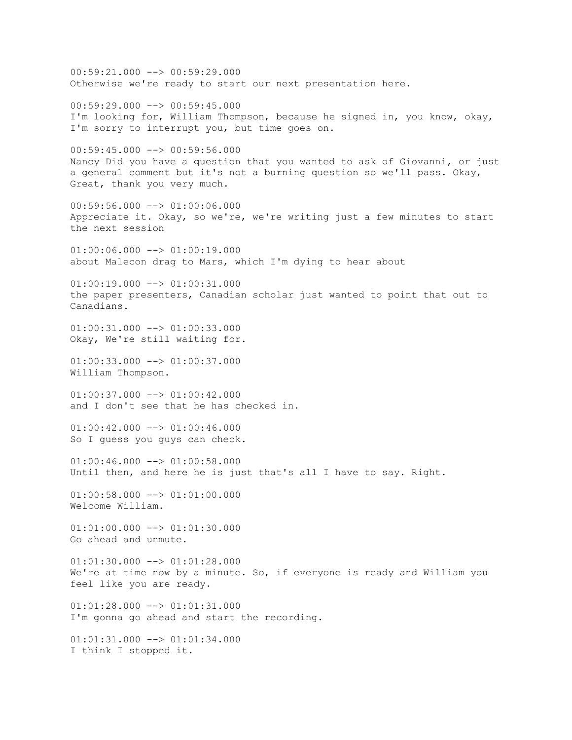$00:59:21.000$  -->  $00:59:29.000$ Otherwise we're ready to start our next presentation here.  $00:59:29.000$  -->  $00:59:45.000$ I'm looking for, William Thompson, because he signed in, you know, okay, I'm sorry to interrupt you, but time goes on. 00:59:45.000 --> 00:59:56.000 Nancy Did you have a question that you wanted to ask of Giovanni, or just a general comment but it's not a burning question so we'll pass. Okay, Great, thank you very much.  $00:59:56.000$  -->  $01:00:06.000$ Appreciate it. Okay, so we're, we're writing just a few minutes to start the next session  $01:00:06.000$  -->  $01:00:19.000$ about Malecon drag to Mars, which I'm dying to hear about  $01:00:19.000$  -->  $01:00:31.000$ the paper presenters, Canadian scholar just wanted to point that out to Canadians.  $01:00:31.000$  -->  $01:00:33.000$ Okay, We're still waiting for.  $01:00:33.000$  -->  $01:00:37.000$ William Thompson.  $01:00:37.000$  -->  $01:00:42.000$ and I don't see that he has checked in.  $01:00:42.000$  -->  $01:00:46.000$ So I guess you guys can check.  $01:00:46.000$  -->  $01:00:58.000$ Until then, and here he is just that's all I have to say. Right.  $01:00:58.000$  -->  $01:01:00.000$ Welcome William.  $01:01:00.000$  -->  $01:01:30.000$ Go ahead and unmute.  $01:01:30.000$  -->  $01:01:28.000$ We're at time now by a minute. So, if everyone is ready and William you feel like you are ready. 01:01:28.000 --> 01:01:31.000 I'm gonna go ahead and start the recording.  $01:01:31.000$  -->  $01:01:34.000$ I think I stopped it.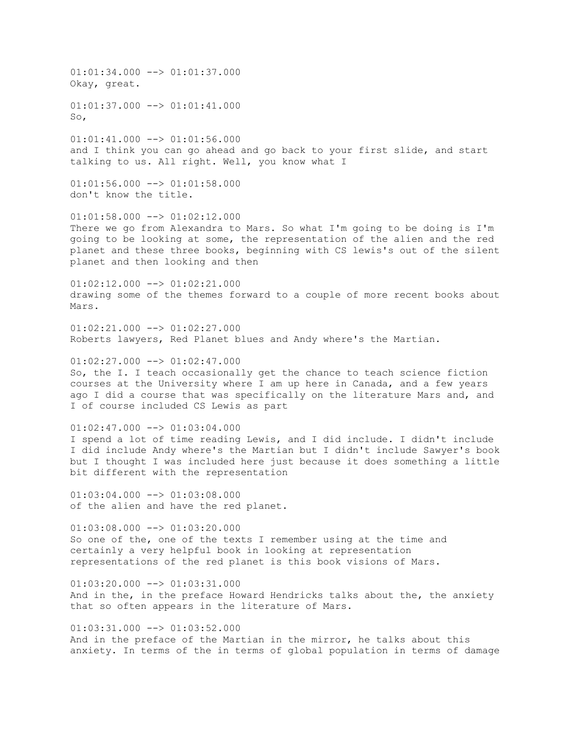01:01:34.000 --> 01:01:37.000 Okay, great.

01:01:37.000 --> 01:01:41.000 So,

01:01:41.000 --> 01:01:56.000 and I think you can go ahead and go back to your first slide, and start talking to us. All right. Well, you know what I

 $01:01:56.000$  -->  $01:01:58.000$ don't know the title.

 $01:01:58.000$  -->  $01:02:12.000$ There we go from Alexandra to Mars. So what I'm going to be doing is I'm going to be looking at some, the representation of the alien and the red planet and these three books, beginning with CS lewis's out of the silent planet and then looking and then

 $01:02:12.000$  -->  $01:02:21.000$ drawing some of the themes forward to a couple of more recent books about Mars.

 $01:02:21.000$  -->  $01:02:27.000$ Roberts lawyers, Red Planet blues and Andy where's the Martian.

 $01:02:27.000$  -->  $01:02:47.000$ So, the I. I teach occasionally get the chance to teach science fiction courses at the University where I am up here in Canada, and a few years ago I did a course that was specifically on the literature Mars and, and I of course included CS Lewis as part

 $01:02:47.000$  -->  $01:03:04.000$ I spend a lot of time reading Lewis, and I did include. I didn't include I did include Andy where's the Martian but I didn't include Sawyer's book but I thought I was included here just because it does something a little bit different with the representation

 $01:03:04.000$  -->  $01:03:08.000$ of the alien and have the red planet.

 $01:03:08.000$  -->  $01:03:20.000$ So one of the, one of the texts I remember using at the time and certainly a very helpful book in looking at representation representations of the red planet is this book visions of Mars.

 $01:03:20.000$  -->  $01:03:31.000$ And in the, in the preface Howard Hendricks talks about the, the anxiety that so often appears in the literature of Mars.

 $01:03:31.000$  -->  $01:03:52.000$ And in the preface of the Martian in the mirror, he talks about this anxiety. In terms of the in terms of global population in terms of damage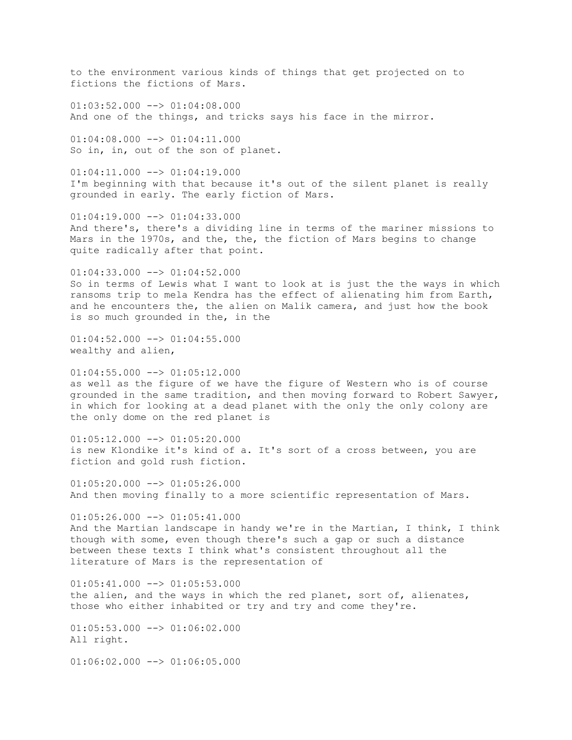to the environment various kinds of things that get projected on to fictions the fictions of Mars.

 $01:03:52.000$   $\rightarrow$   $01:04:08.000$ And one of the things, and tricks says his face in the mirror.

01:04:08.000 --> 01:04:11.000 So in, in, out of the son of planet.

 $01:04:11.000$  -->  $01:04:19.000$ I'm beginning with that because it's out of the silent planet is really grounded in early. The early fiction of Mars.

 $01:04:19.000$  -->  $01:04:33.000$ And there's, there's a dividing line in terms of the mariner missions to Mars in the 1970s, and the, the, the fiction of Mars begins to change quite radically after that point.

01:04:33.000 --> 01:04:52.000 So in terms of Lewis what I want to look at is just the the ways in which ransoms trip to mela Kendra has the effect of alienating him from Earth, and he encounters the, the alien on Malik camera, and just how the book is so much grounded in the, in the

 $01:04:52.000$  -->  $01:04:55.000$ wealthy and alien,

01:04:55.000 --> 01:05:12.000 as well as the figure of we have the figure of Western who is of course grounded in the same tradition, and then moving forward to Robert Sawyer, in which for looking at a dead planet with the only the only colony are the only dome on the red planet is

 $01:05:12.000$   $\rightarrow$   $01:05:20.000$ is new Klondike it's kind of a. It's sort of a cross between, you are fiction and gold rush fiction.

 $01:05:20.000$  -->  $01:05:26.000$ And then moving finally to a more scientific representation of Mars.

 $01:05:26.000$  -->  $01:05:41.000$ And the Martian landscape in handy we're in the Martian, I think, I think though with some, even though there's such a gap or such a distance between these texts I think what's consistent throughout all the literature of Mars is the representation of

 $01:05:41.000$  -->  $01:05:53.000$ the alien, and the ways in which the red planet, sort of, alienates, those who either inhabited or try and try and come they're.

01:05:53.000 --> 01:06:02.000 All right.

 $01:06:02.000$  -->  $01:06:05.000$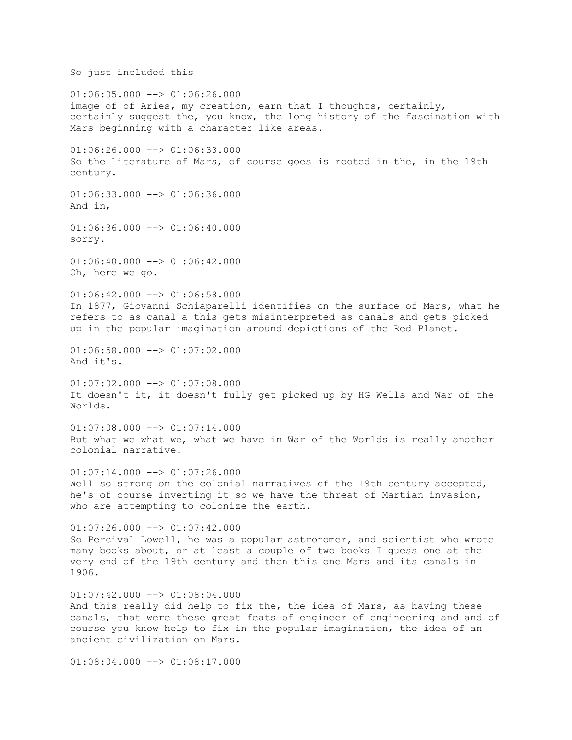So just included this

 $01:06:05.000$  -->  $01:06:26.000$ image of of Aries, my creation, earn that I thoughts, certainly, certainly suggest the, you know, the long history of the fascination with Mars beginning with a character like areas.

01:06:26.000 --> 01:06:33.000 So the literature of Mars, of course goes is rooted in the, in the 19th century.

 $01:06:33.000$  -->  $01:06:36.000$ And in,

01:06:36.000 --> 01:06:40.000 sorry.

 $01:06:40.000$  -->  $01:06:42.000$ Oh, here we go.

 $01:06:42.000$  -->  $01:06:58.000$ In 1877, Giovanni Schiaparelli identifies on the surface of Mars, what he refers to as canal a this gets misinterpreted as canals and gets picked up in the popular imagination around depictions of the Red Planet.

 $01:06:58.000$  -->  $01:07:02.000$ And it's.

 $01:07:02.000$  -->  $01:07:08.000$ It doesn't it, it doesn't fully get picked up by HG Wells and War of the Worlds.

 $01:07:08.000$  -->  $01:07:14.000$ But what we what we, what we have in War of the Worlds is really another colonial narrative.

 $01:07:14.000$  -->  $01:07:26.000$ Well so strong on the colonial narratives of the 19th century accepted, he's of course inverting it so we have the threat of Martian invasion, who are attempting to colonize the earth.

 $01:07:26.000$  -->  $01:07:42.000$ So Percival Lowell, he was a popular astronomer, and scientist who wrote many books about, or at least a couple of two books I guess one at the very end of the 19th century and then this one Mars and its canals in 1906.

 $01:07:42.000$  -->  $01:08:04.000$ And this really did help to fix the, the idea of Mars, as having these canals, that were these great feats of engineer of engineering and and of course you know help to fix in the popular imagination, the idea of an ancient civilization on Mars.

 $01:08:04.000$   $\longrightarrow$   $01:08:17.000$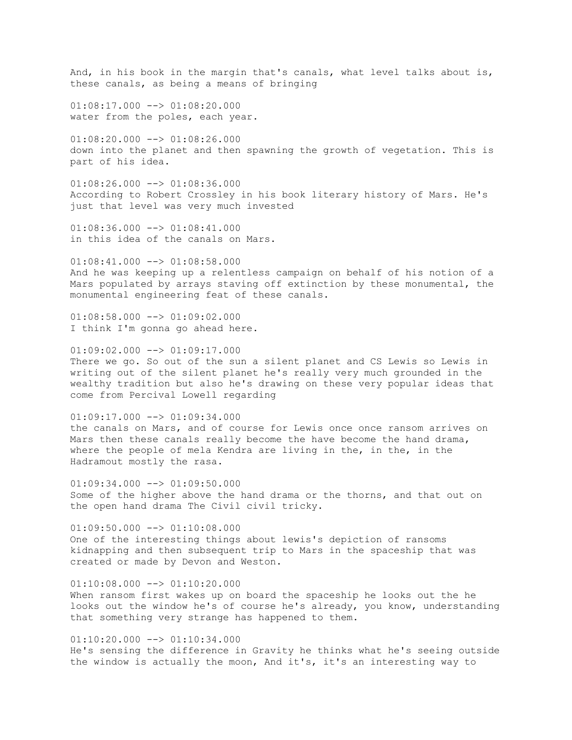And, in his book in the margin that's canals, what level talks about is, these canals, as being a means of bringing

 $01:08:17.000$   $\longrightarrow$   $01:08:20.000$ water from the poles, each year.

 $01:08:20.000$  -->  $01:08:26.000$ down into the planet and then spawning the growth of vegetation. This is part of his idea.

 $01:08:26.000$  -->  $01:08:36.000$ According to Robert Crossley in his book literary history of Mars. He's just that level was very much invested

 $01:08:36.000$  -->  $01:08:41.000$ in this idea of the canals on Mars.

 $01:08:41.000$  -->  $01:08:58.000$ And he was keeping up a relentless campaign on behalf of his notion of a Mars populated by arrays staving off extinction by these monumental, the monumental engineering feat of these canals.

01:08:58.000 --> 01:09:02.000 I think I'm gonna go ahead here.

 $01:09:02.000$  -->  $01:09:17.000$ There we go. So out of the sun a silent planet and CS Lewis so Lewis in writing out of the silent planet he's really very much grounded in the wealthy tradition but also he's drawing on these very popular ideas that come from Percival Lowell regarding

 $01:09:17.000$   $\longrightarrow$   $01:09:34.000$ the canals on Mars, and of course for Lewis once once ransom arrives on Mars then these canals really become the have become the hand drama, where the people of mela Kendra are living in the, in the, in the Hadramout mostly the rasa.

 $01:09:34.000$  -->  $01:09:50.000$ Some of the higher above the hand drama or the thorns, and that out on the open hand drama The Civil civil tricky.

 $01:09:50.000$  -->  $01:10:08.000$ One of the interesting things about lewis's depiction of ransoms kidnapping and then subsequent trip to Mars in the spaceship that was created or made by Devon and Weston.

 $01:10:08.000$  -->  $01:10:20.000$ When ransom first wakes up on board the spaceship he looks out the he looks out the window he's of course he's already, you know, understanding that something very strange has happened to them.

 $01:10:20.000$  -->  $01:10:34.000$ He's sensing the difference in Gravity he thinks what he's seeing outside the window is actually the moon, And it's, it's an interesting way to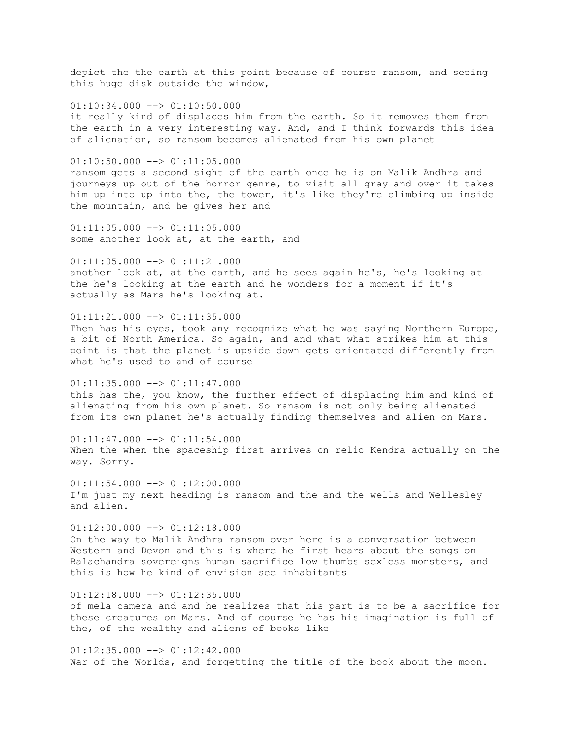depict the the earth at this point because of course ransom, and seeing this huge disk outside the window,

 $01:10:34.000$   $\longrightarrow$   $01:10:50.000$ it really kind of displaces him from the earth. So it removes them from the earth in a very interesting way. And, and I think forwards this idea of alienation, so ransom becomes alienated from his own planet

 $01:10:50.000$  -->  $01:11:05.000$ ransom gets a second sight of the earth once he is on Malik Andhra and journeys up out of the horror genre, to visit all gray and over it takes him up into up into the, the tower, it's like they're climbing up inside the mountain, and he gives her and

 $01:11:05.000$  -->  $01:11:05.000$ some another look at, at the earth, and

 $01:11:05.000$  -->  $01:11:21.000$ another look at, at the earth, and he sees again he's, he's looking at the he's looking at the earth and he wonders for a moment if it's actually as Mars he's looking at.

01:11:21.000 --> 01:11:35.000 Then has his eyes, took any recognize what he was saying Northern Europe, a bit of North America. So again, and and what what strikes him at this point is that the planet is upside down gets orientated differently from what he's used to and of course

01:11:35.000 --> 01:11:47.000 this has the, you know, the further effect of displacing him and kind of alienating from his own planet. So ransom is not only being alienated from its own planet he's actually finding themselves and alien on Mars.

 $01:11:47.000$   $\longrightarrow$   $01:11:54.000$ When the when the spaceship first arrives on relic Kendra actually on the way. Sorry.

 $01:11:54.000$  -->  $01:12:00.000$ I'm just my next heading is ransom and the and the wells and Wellesley and alien.

 $01:12:00.000$  -->  $01:12:18.000$ On the way to Malik Andhra ransom over here is a conversation between Western and Devon and this is where he first hears about the songs on Balachandra sovereigns human sacrifice low thumbs sexless monsters, and this is how he kind of envision see inhabitants

 $01:12:18.000$   $\rightarrow$   $01:12:35.000$ of mela camera and and he realizes that his part is to be a sacrifice for these creatures on Mars. And of course he has his imagination is full of the, of the wealthy and aliens of books like

 $01:12:35.000$  -->  $01:12:42.000$ War of the Worlds, and forgetting the title of the book about the moon.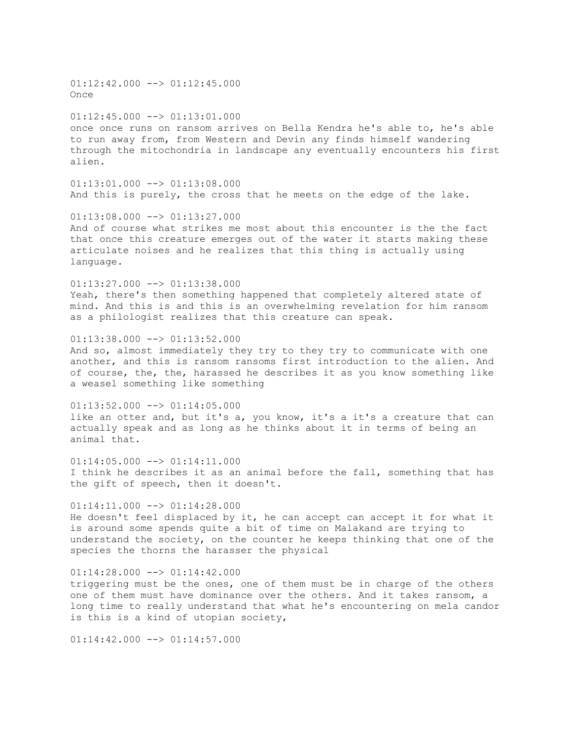$01:12:42.000$  -->  $01:12:45.000$ Once

01:12:45.000 --> 01:13:01.000 once once runs on ransom arrives on Bella Kendra he's able to, he's able to run away from, from Western and Devin any finds himself wandering through the mitochondria in landscape any eventually encounters his first alien.

 $01:13:01.000$   $\rightarrow$   $01:13:08.000$ And this is purely, the cross that he meets on the edge of the lake.

 $01:13:08.000$  -->  $01:13:27.000$ And of course what strikes me most about this encounter is the the fact that once this creature emerges out of the water it starts making these articulate noises and he realizes that this thing is actually using language.

 $01:13:27.000$  -->  $01:13:38.000$ Yeah, there's then something happened that completely altered state of mind. And this is and this is an overwhelming revelation for him ransom as a philologist realizes that this creature can speak.

 $01:13:38.000$  -->  $01:13:52.000$ And so, almost immediately they try to they try to communicate with one another, and this is ransom ransoms first introduction to the alien. And of course, the, the, harassed he describes it as you know something like a weasel something like something

 $01:13:52.000$  -->  $01:14:05.000$ like an otter and, but it's a, you know, it's a it's a creature that can actually speak and as long as he thinks about it in terms of being an animal that.

 $01:14:05.000$  -->  $01:14:11.000$ I think he describes it as an animal before the fall, something that has the gift of speech, then it doesn't.

 $01:14:11.000$   $\longrightarrow$   $01:14:28.000$ He doesn't feel displaced by it, he can accept can accept it for what it is around some spends quite a bit of time on Malakand are trying to understand the society, on the counter he keeps thinking that one of the species the thorns the harasser the physical

 $01:14:28.000$  -->  $01:14:42.000$ triggering must be the ones, one of them must be in charge of the others one of them must have dominance over the others. And it takes ransom, a long time to really understand that what he's encountering on mela candor is this is a kind of utopian society,

 $01:14:42.000$  -->  $01:14:57.000$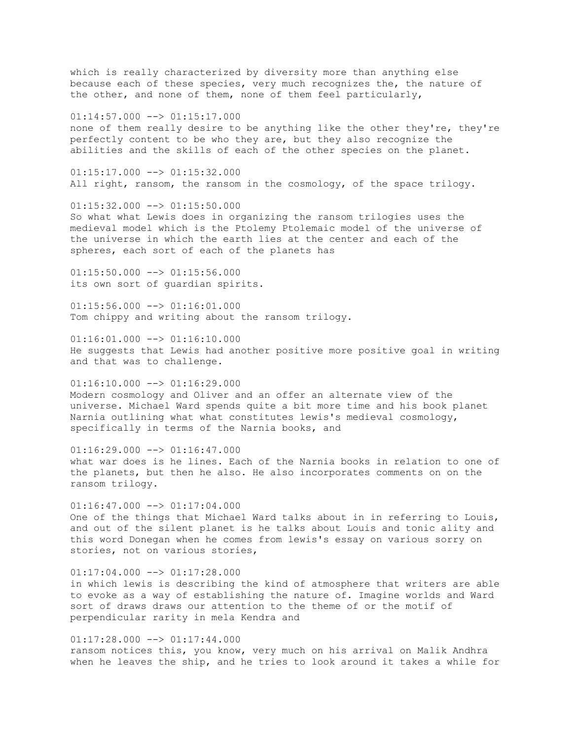which is really characterized by diversity more than anything else because each of these species, very much recognizes the, the nature of the other, and none of them, none of them feel particularly,

 $01:14:57.000$  -->  $01:15:17.000$ none of them really desire to be anything like the other they're, they're perfectly content to be who they are, but they also recognize the abilities and the skills of each of the other species on the planet.

 $01:15:17.000$  -->  $01:15:32.000$ All right, ransom, the ransom in the cosmology, of the space trilogy.

 $01:15:32.000$  -->  $01:15:50.000$ So what what Lewis does in organizing the ransom trilogies uses the medieval model which is the Ptolemy Ptolemaic model of the universe of the universe in which the earth lies at the center and each of the spheres, each sort of each of the planets has

 $01:15:50.000$  -->  $01:15:56.000$ its own sort of guardian spirits.

 $01:15:56.000$  -->  $01:16:01.000$ Tom chippy and writing about the ransom trilogy.

 $01:16:01.000$  -->  $01:16:10.000$ He suggests that Lewis had another positive more positive goal in writing and that was to challenge.

 $01:16:10.000$  -->  $01:16:29.000$ Modern cosmology and Oliver and an offer an alternate view of the universe. Michael Ward spends quite a bit more time and his book planet Narnia outlining what what constitutes lewis's medieval cosmology, specifically in terms of the Narnia books, and

 $01:16:29.000$  -->  $01:16:47.000$ what war does is he lines. Each of the Narnia books in relation to one of

the planets, but then he also. He also incorporates comments on on the ransom trilogy.

 $01:16:47.000$   $\longrightarrow$   $01:17:04.000$ One of the things that Michael Ward talks about in in referring to Louis, and out of the silent planet is he talks about Louis and tonic ality and this word Donegan when he comes from lewis's essay on various sorry on stories, not on various stories,

 $01:17:04.000$   $\longrightarrow$   $01:17:28.000$ in which lewis is describing the kind of atmosphere that writers are able to evoke as a way of establishing the nature of. Imagine worlds and Ward sort of draws draws our attention to the theme of or the motif of perpendicular rarity in mela Kendra and

 $01:17:28.000$  -->  $01:17:44.000$ ransom notices this, you know, very much on his arrival on Malik Andhra when he leaves the ship, and he tries to look around it takes a while for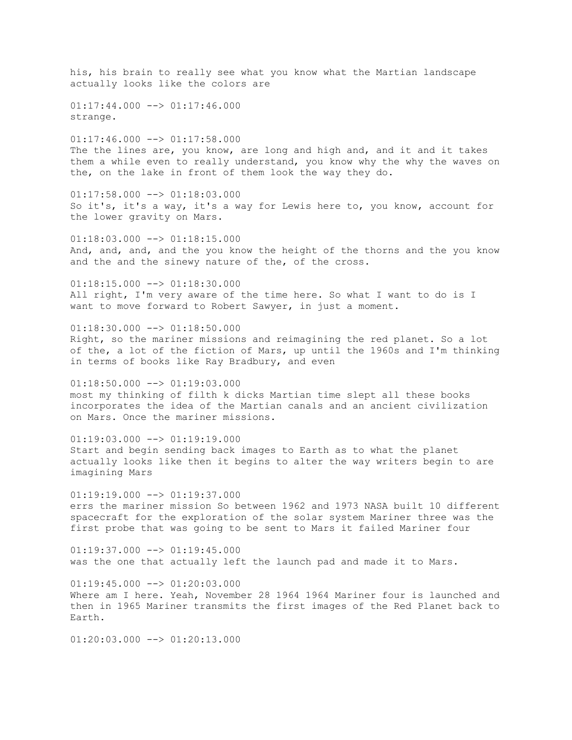his, his brain to really see what you know what the Martian landscape actually looks like the colors are  $01:17:44.000$  -->  $01:17:46.000$ strange.  $01:17:46.000$  -->  $01:17:58.000$ The the lines are, you know, are long and high and, and it and it takes them a while even to really understand, you know why the why the waves on the, on the lake in front of them look the way they do.  $01:17:58.000$  -->  $01:18:03.000$ So it's, it's a way, it's a way for Lewis here to, you know, account for the lower gravity on Mars.  $01:18:03.000$   $\rightarrow$   $01:18:15.000$ And, and, and, and the you know the height of the thorns and the you know and the and the sinewy nature of the, of the cross.  $01:18:15.000$  -->  $01:18:30.000$ All right, I'm very aware of the time here. So what I want to do is I want to move forward to Robert Sawyer, in just a moment.  $01:18:30.000$  -->  $01:18:50.000$ Right, so the mariner missions and reimagining the red planet. So a lot of the, a lot of the fiction of Mars, up until the 1960s and I'm thinking in terms of books like Ray Bradbury, and even  $01:18:50.000$  -->  $01:19:03.000$ most my thinking of filth k dicks Martian time slept all these books incorporates the idea of the Martian canals and an ancient civilization on Mars. Once the mariner missions.  $01:19:03.000$   $\rightarrow$   $01:19:19.000$ Start and begin sending back images to Earth as to what the planet actually looks like then it begins to alter the way writers begin to are imagining Mars  $01:19:19.000$   $\longrightarrow$   $01:19:37.000$ errs the mariner mission So between 1962 and 1973 NASA built 10 different spacecraft for the exploration of the solar system Mariner three was the first probe that was going to be sent to Mars it failed Mariner four  $01:19:37.000$  -->  $01:19:45.000$ was the one that actually left the launch pad and made it to Mars.  $01:19:45.000$  -->  $01:20:03.000$ Where am I here. Yeah, November 28 1964 1964 Mariner four is launched and then in 1965 Mariner transmits the first images of the Red Planet back to Earth.  $01:20:03.000$  -->  $01:20:13.000$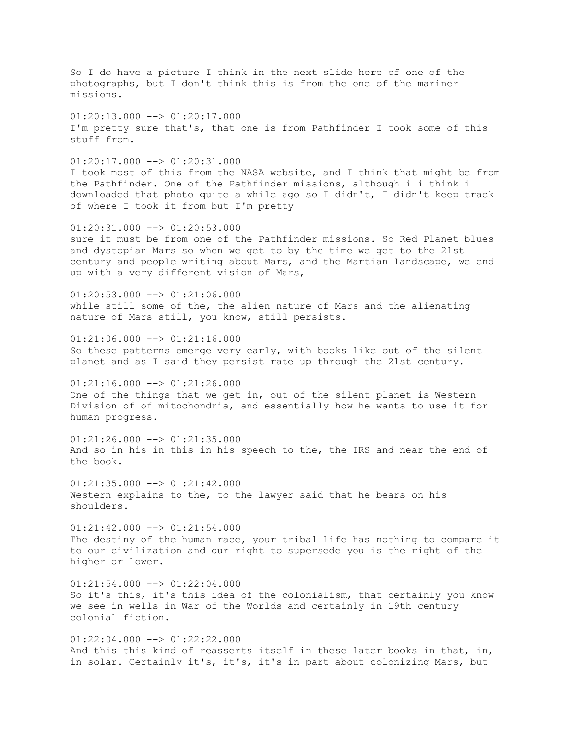So I do have a picture I think in the next slide here of one of the photographs, but I don't think this is from the one of the mariner missions.  $01:20:13.000$  -->  $01:20:17.000$ I'm pretty sure that's, that one is from Pathfinder I took some of this stuff from.  $01:20:17.000$  -->  $01:20:31.000$ I took most of this from the NASA website, and I think that might be from the Pathfinder. One of the Pathfinder missions, although i i think i downloaded that photo quite a while ago so I didn't, I didn't keep track of where I took it from but I'm pretty 01:20:31.000 --> 01:20:53.000 sure it must be from one of the Pathfinder missions. So Red Planet blues and dystopian Mars so when we get to by the time we get to the 21st century and people writing about Mars, and the Martian landscape, we end up with a very different vision of Mars,  $01:20:53.000$  -->  $01:21:06.000$ while still some of the, the alien nature of Mars and the alienating nature of Mars still, you know, still persists.  $01:21:06.000$  -->  $01:21:16.000$ So these patterns emerge very early, with books like out of the silent planet and as I said they persist rate up through the 21st century. 01:21:16.000 --> 01:21:26.000 One of the things that we get in, out of the silent planet is Western Division of of mitochondria, and essentially how he wants to use it for human progress.  $01:21:26.000$  -->  $01:21:35.000$ And so in his in this in his speech to the, the IRS and near the end of the book.  $01:21:35.000$  -->  $01:21:42.000$ Western explains to the, to the lawyer said that he bears on his shoulders. 01:21:42.000 --> 01:21:54.000 The destiny of the human race, your tribal life has nothing to compare it to our civilization and our right to supersede you is the right of the higher or lower.  $01:21:54.000$  -->  $01:22:04.000$ So it's this, it's this idea of the colonialism, that certainly you know we see in wells in War of the Worlds and certainly in 19th century colonial fiction.  $01:22:04.000$   $\longrightarrow$   $01:22:22.000$ And this this kind of reasserts itself in these later books in that, in, in solar. Certainly it's, it's, it's in part about colonizing Mars, but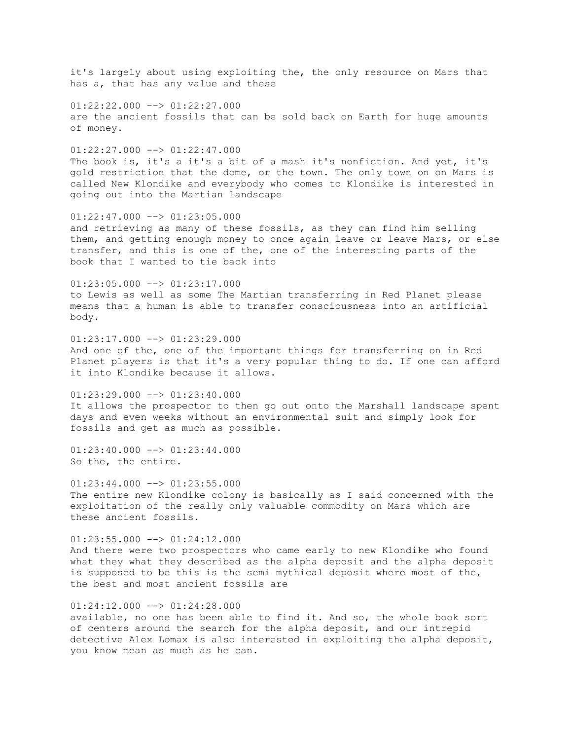it's largely about using exploiting the, the only resource on Mars that has a, that has any value and these

 $01:22:22.000$  -->  $01:22:27.000$ are the ancient fossils that can be sold back on Earth for huge amounts of money.

01:22:27.000 --> 01:22:47.000 The book is, it's a it's a bit of a mash it's nonfiction. And yet, it's gold restriction that the dome, or the town. The only town on on Mars is called New Klondike and everybody who comes to Klondike is interested in going out into the Martian landscape

 $01:22:47.000$  -->  $01:23:05.000$ and retrieving as many of these fossils, as they can find him selling them, and getting enough money to once again leave or leave Mars, or else transfer, and this is one of the, one of the interesting parts of the book that I wanted to tie back into

 $01:23:05.000$  -->  $01:23:17.000$ to Lewis as well as some The Martian transferring in Red Planet please means that a human is able to transfer consciousness into an artificial body.

 $01:23:17.000$  -->  $01:23:29.000$ And one of the, one of the important things for transferring on in Red Planet players is that it's a very popular thing to do. If one can afford it into Klondike because it allows.

 $01:23:29.000$  -->  $01:23:40.000$ It allows the prospector to then go out onto the Marshall landscape spent days and even weeks without an environmental suit and simply look for fossils and get as much as possible.

 $01:23:40.000$  -->  $01:23:44.000$ So the, the entire.

 $01:23:44.000$  -->  $01:23:55.000$ The entire new Klondike colony is basically as I said concerned with the exploitation of the really only valuable commodity on Mars which are these ancient fossils.

 $01:23:55.000$  -->  $01:24:12.000$ And there were two prospectors who came early to new Klondike who found what they what they described as the alpha deposit and the alpha deposit is supposed to be this is the semi mythical deposit where most of the, the best and most ancient fossils are

 $01:24:12.000$  -->  $01:24:28.000$ available, no one has been able to find it. And so, the whole book sort of centers around the search for the alpha deposit, and our intrepid detective Alex Lomax is also interested in exploiting the alpha deposit, you know mean as much as he can.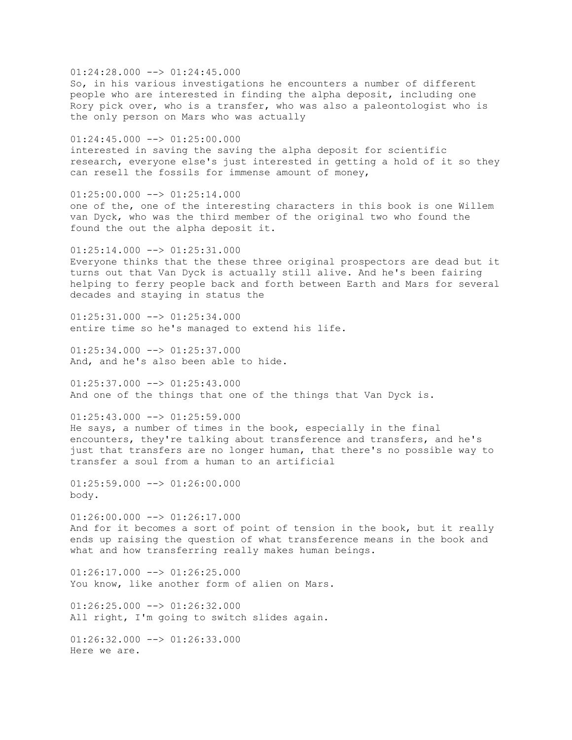$01:24:28.000$  -->  $01:24:45.000$ So, in his various investigations he encounters a number of different people who are interested in finding the alpha deposit, including one Rory pick over, who is a transfer, who was also a paleontologist who is the only person on Mars who was actually 01:24:45.000 --> 01:25:00.000

interested in saving the saving the alpha deposit for scientific research, everyone else's just interested in getting a hold of it so they can resell the fossils for immense amount of money,

 $01:25:00.000$  -->  $01:25:14.000$ one of the, one of the interesting characters in this book is one Willem van Dyck, who was the third member of the original two who found the found the out the alpha deposit it.

 $01:25:14.000$  -->  $01:25:31.000$ Everyone thinks that the these three original prospectors are dead but it turns out that Van Dyck is actually still alive. And he's been fairing helping to ferry people back and forth between Earth and Mars for several decades and staying in status the

01:25:31.000 --> 01:25:34.000 entire time so he's managed to extend his life.

01:25:34.000 --> 01:25:37.000 And, and he's also been able to hide.

 $01:25:37.000$  -->  $01:25:43.000$ And one of the things that one of the things that Van Dyck is.

 $01:25:43.000$  -->  $01:25:59.000$ He says, a number of times in the book, especially in the final encounters, they're talking about transference and transfers, and he's just that transfers are no longer human, that there's no possible way to transfer a soul from a human to an artificial

 $01:25:59.000$  -->  $01:26:00.000$ body.

 $01:26:00.000$  -->  $01:26:17.000$ And for it becomes a sort of point of tension in the book, but it really ends up raising the question of what transference means in the book and what and how transferring really makes human beings.

 $01:26:17.000$   $\rightarrow$   $01:26:25.000$ You know, like another form of alien on Mars.

 $01:26:25.000$  -->  $01:26:32.000$ All right, I'm going to switch slides again.

 $01:26:32.000$  -->  $01:26:33.000$ Here we are.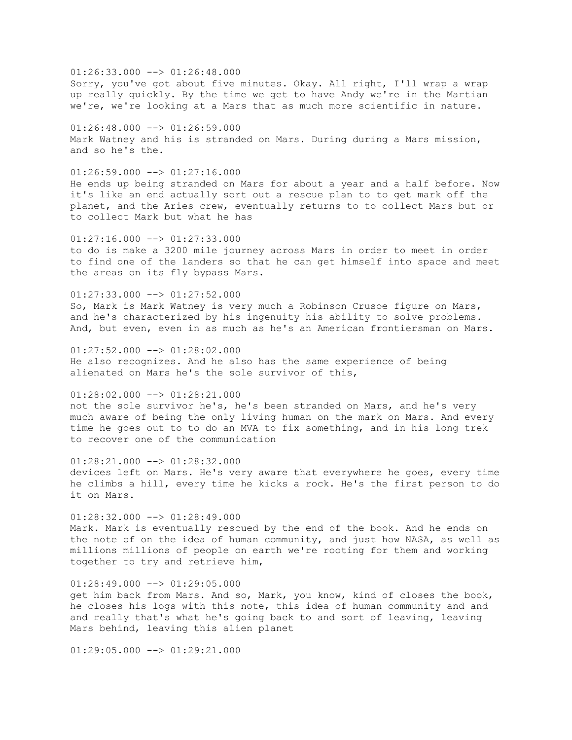## $01:26:33.000$  -->  $01:26:48.000$ Sorry, you've got about five minutes. Okay. All right, I'll wrap a wrap up really quickly. By the time we get to have Andy we're in the Martian we're, we're looking at a Mars that as much more scientific in nature.

 $01:26:48.000$  -->  $01:26:59.000$ Mark Watney and his is stranded on Mars. During during a Mars mission, and so he's the.

 $01:26:59.000$  -->  $01:27:16.000$ He ends up being stranded on Mars for about a year and a half before. Now it's like an end actually sort out a rescue plan to to get mark off the planet, and the Aries crew, eventually returns to to collect Mars but or to collect Mark but what he has

 $01:27:16.000$  -->  $01:27:33.000$ to do is make a 3200 mile journey across Mars in order to meet in order to find one of the landers so that he can get himself into space and meet the areas on its fly bypass Mars.

 $01:27:33.000$  -->  $01:27:52.000$ So, Mark is Mark Watney is very much a Robinson Crusoe figure on Mars, and he's characterized by his ingenuity his ability to solve problems. And, but even, even in as much as he's an American frontiersman on Mars.

 $01:27:52.000$  -->  $01:28:02.000$ He also recognizes. And he also has the same experience of being alienated on Mars he's the sole survivor of this,

01:28:02.000 --> 01:28:21.000 not the sole survivor he's, he's been stranded on Mars, and he's very much aware of being the only living human on the mark on Mars. And every time he goes out to to do an MVA to fix something, and in his long trek to recover one of the communication

 $01:28:21.000$  -->  $01:28:32.000$ devices left on Mars. He's very aware that everywhere he goes, every time he climbs a hill, every time he kicks a rock. He's the first person to do it on Mars.

 $01:28:32.000$  -->  $01:28:49.000$ Mark. Mark is eventually rescued by the end of the book. And he ends on the note of on the idea of human community, and just how NASA, as well as millions millions of people on earth we're rooting for them and working together to try and retrieve him,

 $01:28:49.000$  -->  $01:29:05.000$ get him back from Mars. And so, Mark, you know, kind of closes the book, he closes his logs with this note, this idea of human community and and and really that's what he's going back to and sort of leaving, leaving Mars behind, leaving this alien planet

 $01:29:05.000$  -->  $01:29:21.000$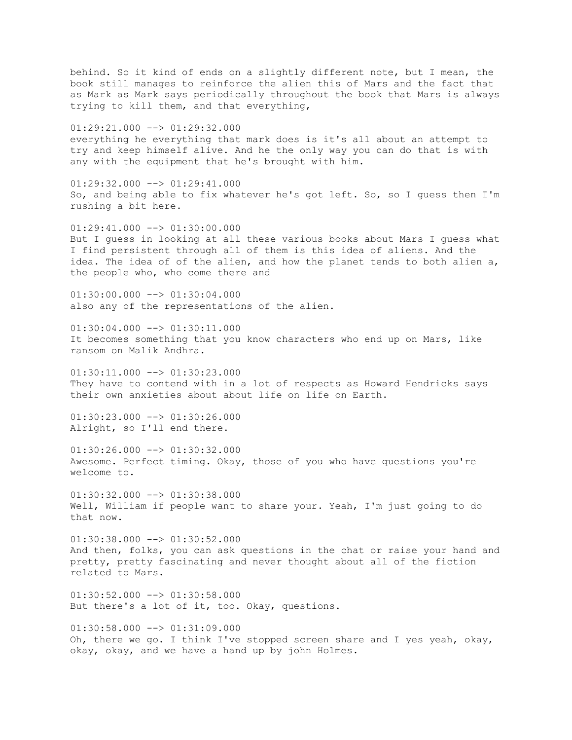behind. So it kind of ends on a slightly different note, but I mean, the book still manages to reinforce the alien this of Mars and the fact that as Mark as Mark says periodically throughout the book that Mars is always trying to kill them, and that everything, 01:29:21.000 --> 01:29:32.000 everything he everything that mark does is it's all about an attempt to try and keep himself alive. And he the only way you can do that is with any with the equipment that he's brought with him.  $01:29:32.000$  -->  $01:29:41.000$ So, and being able to fix whatever he's got left. So, so I guess then I'm rushing a bit here.  $01:29:41.000$  -->  $01:30:00.000$ But I guess in looking at all these various books about Mars I guess what I find persistent through all of them is this idea of aliens. And the idea. The idea of of the alien, and how the planet tends to both alien a, the people who, who come there and  $01:30:00.000$  -->  $01:30:04.000$ also any of the representations of the alien. 01:30:04.000 --> 01:30:11.000 It becomes something that you know characters who end up on Mars, like ransom on Malik Andhra.  $01:30:11.000$   $\rightarrow$   $01:30:23.000$ They have to contend with in a lot of respects as Howard Hendricks says their own anxieties about about life on life on Earth.  $01:30:23.000$  -->  $01:30:26.000$ Alright, so I'll end there.  $01:30:26.000$  -->  $01:30:32.000$ Awesome. Perfect timing. Okay, those of you who have questions you're welcome to.  $01:30:32.000$  -->  $01:30:38.000$ Well, William if people want to share your. Yeah, I'm just going to do that now.  $01:30:38.000$  -->  $01:30:52.000$ And then, folks, you can ask questions in the chat or raise your hand and pretty, pretty fascinating and never thought about all of the fiction related to Mars.  $01:30:52.000$   $\rightarrow$   $01:30:58.000$ But there's a lot of it, too. Okay, questions.  $01:30:58.000$  -->  $01:31:09.000$ Oh, there we go. I think I've stopped screen share and I yes yeah, okay, okay, okay, and we have a hand up by john Holmes.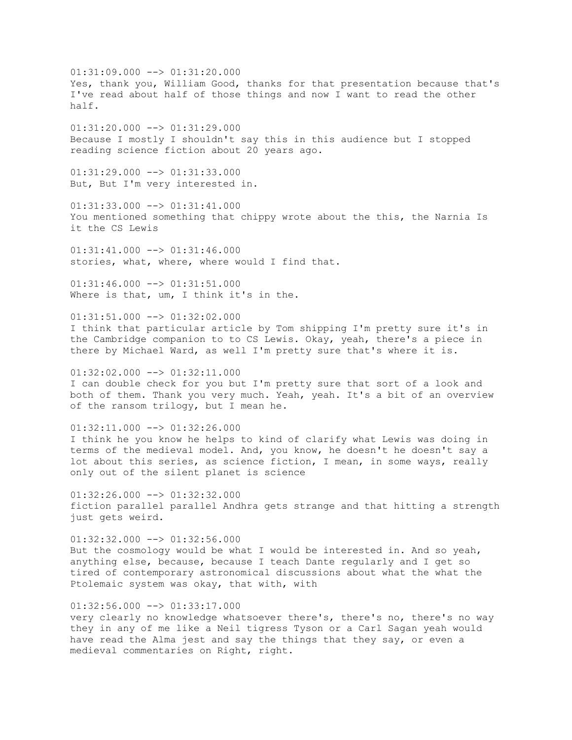$01:31:09.000$  -->  $01:31:20.000$ Yes, thank you, William Good, thanks for that presentation because that's I've read about half of those things and now I want to read the other half.  $01:31:20.000$  -->  $01:31:29.000$ Because I mostly I shouldn't say this in this audience but I stopped reading science fiction about 20 years ago.  $01:31:29.000$  -->  $01:31:33.000$ But, But I'm very interested in. 01:31:33.000 --> 01:31:41.000 You mentioned something that chippy wrote about the this, the Narnia Is it the CS Lewis 01:31:41.000 --> 01:31:46.000 stories, what, where, where would I find that. 01:31:46.000 --> 01:31:51.000 Where is that, um, I think it's in the. 01:31:51.000 --> 01:32:02.000 I think that particular article by Tom shipping I'm pretty sure it's in the Cambridge companion to to CS Lewis. Okay, yeah, there's a piece in there by Michael Ward, as well I'm pretty sure that's where it is.  $01:32:02.000$  -->  $01:32:11.000$ I can double check for you but I'm pretty sure that sort of a look and both of them. Thank you very much. Yeah, yeah. It's a bit of an overview of the ransom trilogy, but I mean he.  $01:32:11.000$  -->  $01:32:26.000$ I think he you know he helps to kind of clarify what Lewis was doing in terms of the medieval model. And, you know, he doesn't he doesn't say a lot about this series, as science fiction, I mean, in some ways, really only out of the silent planet is science  $01:32:26.000$  -->  $01:32:32.000$ fiction parallel parallel Andhra gets strange and that hitting a strength just gets weird.  $01:32:32.000$  -->  $01:32:56.000$ But the cosmology would be what I would be interested in. And so yeah, anything else, because, because I teach Dante regularly and I get so tired of contemporary astronomical discussions about what the what the Ptolemaic system was okay, that with, with 01:32:56.000 --> 01:33:17.000 very clearly no knowledge whatsoever there's, there's no, there's no way they in any of me like a Neil tigress Tyson or a Carl Sagan yeah would have read the Alma jest and say the things that they say, or even a medieval commentaries on Right, right.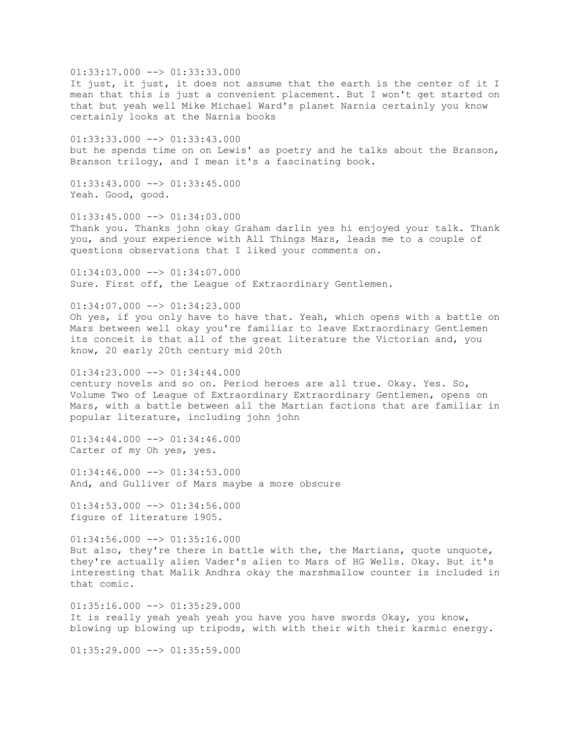$01:33:17.000$  -->  $01:33:33.000$ It just, it just, it does not assume that the earth is the center of it I mean that this is just a convenient placement. But I won't get started on that but yeah well Mike Michael Ward's planet Narnia certainly you know certainly looks at the Narnia books 01:33:33.000 --> 01:33:43.000 but he spends time on on Lewis' as poetry and he talks about the Branson, Branson trilogy, and I mean it's a fascinating book.  $01:33:43.000$  -->  $01:33:45.000$ Yeah. Good, good.  $01:33:45.000$  -->  $01:34:03.000$ Thank you. Thanks john okay Graham darlin yes hi enjoyed your talk. Thank you, and your experience with All Things Mars, leads me to a couple of questions observations that I liked your comments on. 01:34:03.000 --> 01:34:07.000 Sure. First off, the League of Extraordinary Gentlemen.  $01:34:07.000$   $\longrightarrow$   $01:34:23.000$ Oh yes, if you only have to have that. Yeah, which opens with a battle on Mars between well okay you're familiar to leave Extraordinary Gentlemen its conceit is that all of the great literature the Victorian and, you know, 20 early 20th century mid 20th  $01:34:23.000$  -->  $01:34:44.000$ century novels and so on. Period heroes are all true. Okay. Yes. So, Volume Two of League of Extraordinary Extraordinary Gentlemen, opens on Mars, with a battle between all the Martian factions that are familiar in popular literature, including john john  $01:34:44.000$  -->  $01:34:46.000$ Carter of my Oh yes, yes.  $01:34:46.000$  -->  $01:34:53.000$ And, and Gulliver of Mars maybe a more obscure  $01:34:53.000$   $\rightarrow$   $01:34:56.000$ figure of literature 1905.  $01:34:56.000$  -->  $01:35:16.000$ But also, they're there in battle with the, the Martians, quote unquote, they're actually alien Vader's alien to Mars of HG Wells. Okay. But it's interesting that Malik Andhra okay the marshmallow counter is included in that comic.  $01:35:16.000$  -->  $01:35:29.000$ It is really yeah yeah yeah you have you have swords Okay, you know, blowing up blowing up tripods, with with their with their karmic energy.

 $01:35:29.000$  -->  $01:35:59.000$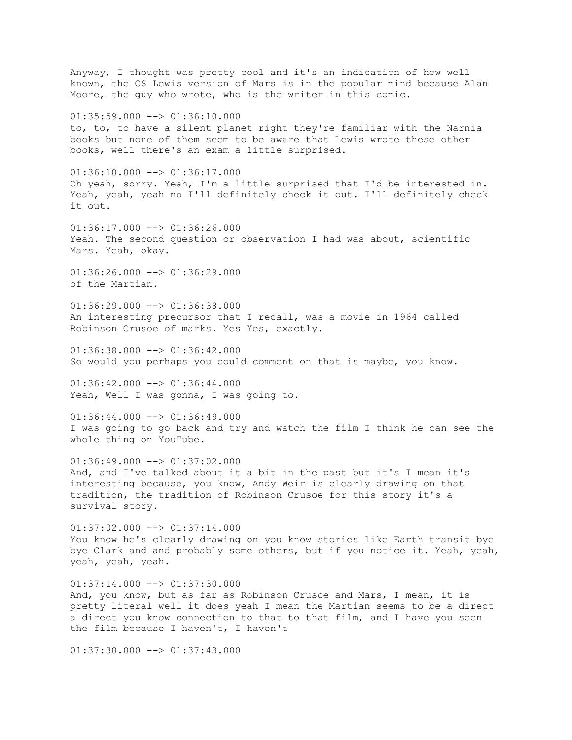Anyway, I thought was pretty cool and it's an indication of how well known, the CS Lewis version of Mars is in the popular mind because Alan Moore, the guy who wrote, who is the writer in this comic.  $01:35:59.000$  -->  $01:36:10.000$ to, to, to have a silent planet right they're familiar with the Narnia books but none of them seem to be aware that Lewis wrote these other books, well there's an exam a little surprised.  $01:36:10.000$  -->  $01:36:17.000$ Oh yeah, sorry. Yeah, I'm a little surprised that I'd be interested in. Yeah, yeah, yeah no I'll definitely check it out. I'll definitely check it out.  $01:36:17.000$  -->  $01:36:26.000$ Yeah. The second question or observation I had was about, scientific Mars. Yeah, okay.  $01:36:26.000$  -->  $01:36:29.000$ of the Martian.  $01:36:29.000$  -->  $01:36:38.000$ An interesting precursor that I recall, was a movie in 1964 called Robinson Crusoe of marks. Yes Yes, exactly.  $01:36:38.000$  -->  $01:36:42.000$ So would you perhaps you could comment on that is maybe, you know.  $01:36:42.000$  -->  $01:36:44.000$ Yeah, Well I was gonna, I was going to.  $01:36:44.000$  -->  $01:36:49.000$ I was going to go back and try and watch the film I think he can see the whole thing on YouTube.  $01:36:49.000$  -->  $01:37:02.000$ And, and I've talked about it a bit in the past but it's I mean it's interesting because, you know, Andy Weir is clearly drawing on that tradition, the tradition of Robinson Crusoe for this story it's a survival story. 01:37:02.000 --> 01:37:14.000 You know he's clearly drawing on you know stories like Earth transit bye bye Clark and and probably some others, but if you notice it. Yeah, yeah, yeah, yeah, yeah.  $01:37:14.000$  -->  $01:37:30.000$ And, you know, but as far as Robinson Crusoe and Mars, I mean, it is pretty literal well it does yeah I mean the Martian seems to be a direct a direct you know connection to that to that film, and I have you seen the film because I haven't, I haven't  $01:37:30.000$  -->  $01:37:43.000$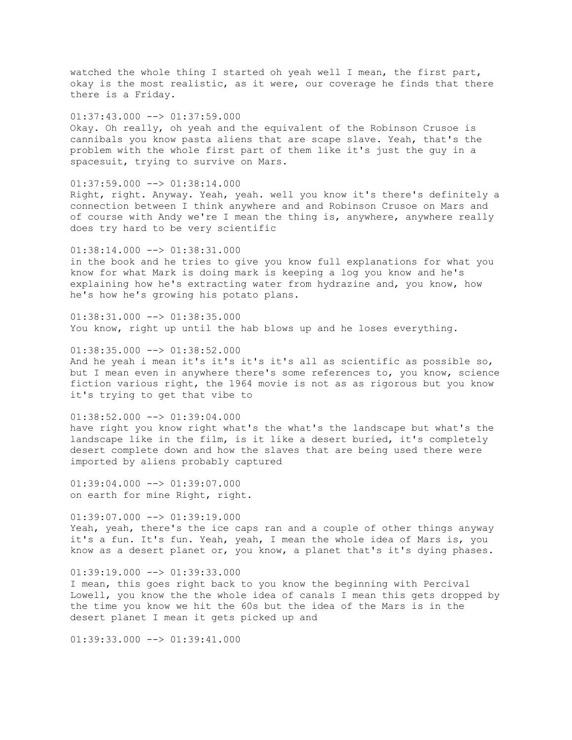watched the whole thing I started oh yeah well I mean, the first part, okay is the most realistic, as it were, our coverage he finds that there there is a Friday.

#### $01:37:43.000$  -->  $01:37:59.000$

Okay. Oh really, oh yeah and the equivalent of the Robinson Crusoe is cannibals you know pasta aliens that are scape slave. Yeah, that's the problem with the whole first part of them like it's just the guy in a spacesuit, trying to survive on Mars.

#### $01:37:59.000$  -->  $01:38:14.000$

Right, right. Anyway. Yeah, yeah. well you know it's there's definitely a connection between I think anywhere and and Robinson Crusoe on Mars and of course with Andy we're I mean the thing is, anywhere, anywhere really does try hard to be very scientific

#### 01:38:14.000 --> 01:38:31.000

in the book and he tries to give you know full explanations for what you know for what Mark is doing mark is keeping a log you know and he's explaining how he's extracting water from hydrazine and, you know, how he's how he's growing his potato plans.

01:38:31.000 --> 01:38:35.000 You know, right up until the hab blows up and he loses everything.

### 01:38:35.000 --> 01:38:52.000

And he yeah i mean it's it's it's it's all as scientific as possible so, but I mean even in anywhere there's some references to, you know, science fiction various right, the 1964 movie is not as as rigorous but you know it's trying to get that vibe to

### $01:38:52.000$  -->  $01:39:04.000$

have right you know right what's the what's the landscape but what's the landscape like in the film, is it like a desert buried, it's completely desert complete down and how the slaves that are being used there were imported by aliens probably captured

01:39:04.000 --> 01:39:07.000 on earth for mine Right, right.

# $01:39:07.000$  -->  $01:39:19.000$ Yeah, yeah, there's the ice caps ran and a couple of other things anyway it's a fun. It's fun. Yeah, yeah, I mean the whole idea of Mars is, you know as a desert planet or, you know, a planet that's it's dying phases.

#### $01:39:19.000$  -->  $01:39:33.000$

I mean, this goes right back to you know the beginning with Percival Lowell, you know the the whole idea of canals I mean this gets dropped by the time you know we hit the 60s but the idea of the Mars is in the desert planet I mean it gets picked up and

 $01:39:33.000$  -->  $01:39:41.000$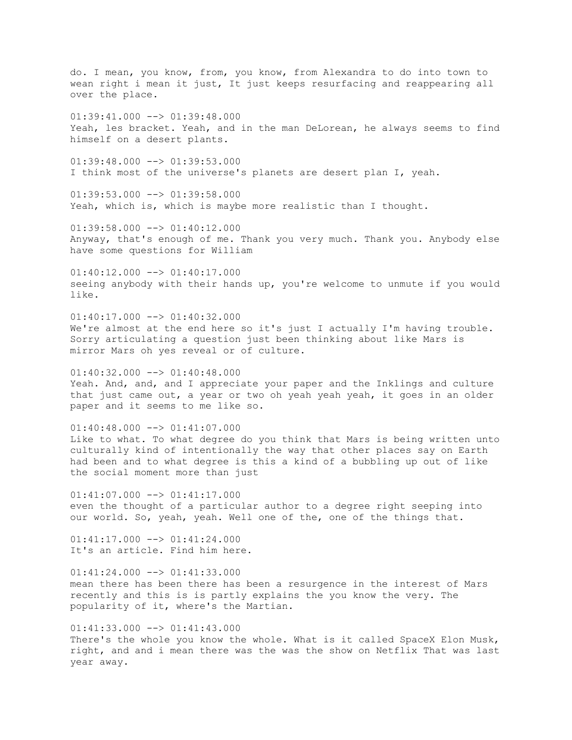do. I mean, you know, from, you know, from Alexandra to do into town to wean right i mean it just, It just keeps resurfacing and reappearing all over the place.  $01:39:41.000$  -->  $01:39:48.000$ Yeah, les bracket. Yeah, and in the man DeLorean, he always seems to find himself on a desert plants. 01:39:48.000 --> 01:39:53.000 I think most of the universe's planets are desert plan I, yeah.  $01:39:53.000$  -->  $01:39:58.000$ Yeah, which is, which is maybe more realistic than I thought.  $01:39:58.000$  -->  $01:40:12.000$ Anyway, that's enough of me. Thank you very much. Thank you. Anybody else have some questions for William  $01:40:12.000$  -->  $01:40:17.000$ seeing anybody with their hands up, you're welcome to unmute if you would like.  $01:40:17.000$  -->  $01:40:32.000$ We're almost at the end here so it's just I actually I'm having trouble. Sorry articulating a question just been thinking about like Mars is mirror Mars oh yes reveal or of culture.  $01:40:32.000$  -->  $01:40:48.000$ Yeah. And, and, and I appreciate your paper and the Inklings and culture that just came out, a year or two oh yeah yeah yeah, it goes in an older paper and it seems to me like so.  $01:40:48.000$  -->  $01:41:07.000$ Like to what. To what degree do you think that Mars is being written unto culturally kind of intentionally the way that other places say on Earth had been and to what degree is this a kind of a bubbling up out of like the social moment more than just  $01:41:07.000$  -->  $01:41:17.000$ even the thought of a particular author to a degree right seeping into our world. So, yeah, yeah. Well one of the, one of the things that. 01:41:17.000 --> 01:41:24.000 It's an article. Find him here.  $01:41:24.000$  -->  $01:41:33.000$ mean there has been there has been a resurgence in the interest of Mars recently and this is is partly explains the you know the very. The popularity of it, where's the Martian.  $01:41:33.000$  -->  $01:41:43.000$ There's the whole you know the whole. What is it called SpaceX Elon Musk, right, and and i mean there was the was the show on Netflix That was last year away.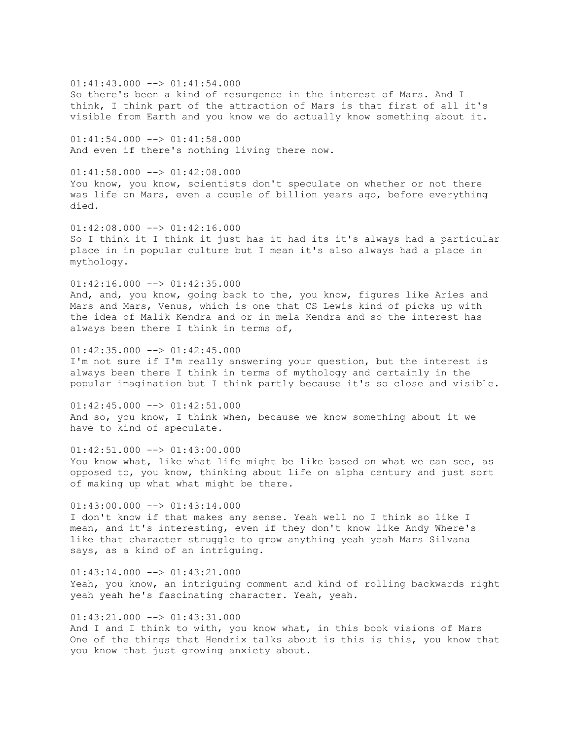$01:41:43.000$  -->  $01:41:54.000$ So there's been a kind of resurgence in the interest of Mars. And I think, I think part of the attraction of Mars is that first of all it's visible from Earth and you know we do actually know something about it.

 $01:41:54.000$  -->  $01:41:58.000$ And even if there's nothing living there now.

 $01:41:58.000$  -->  $01:42:08.000$ You know, you know, scientists don't speculate on whether or not there was life on Mars, even a couple of billion years ago, before everything died.

 $01:42:08.000$  -->  $01:42:16.000$ So I think it I think it just has it had its it's always had a particular place in in popular culture but I mean it's also always had a place in mythology.

 $01:42:16.000$  -->  $01:42:35.000$ And, and, you know, going back to the, you know, figures like Aries and Mars and Mars, Venus, which is one that CS Lewis kind of picks up with the idea of Malik Kendra and or in mela Kendra and so the interest has always been there I think in terms of,

 $01:42:35.000$  -->  $01:42:45.000$ I'm not sure if I'm really answering your question, but the interest is always been there I think in terms of mythology and certainly in the popular imagination but I think partly because it's so close and visible.

01:42:45.000 --> 01:42:51.000 And so, you know, I think when, because we know something about it we have to kind of speculate.

 $01:42:51.000$  -->  $01:43:00.000$ You know what, like what life might be like based on what we can see, as opposed to, you know, thinking about life on alpha century and just sort of making up what what might be there.

 $01:43:00.000$  -->  $01:43:14.000$ I don't know if that makes any sense. Yeah well no I think so like I mean, and it's interesting, even if they don't know like Andy Where's like that character struggle to grow anything yeah yeah Mars Silvana says, as a kind of an intriguing.

 $01:43:14.000$   $\longrightarrow$   $01:43:21.000$ Yeah, you know, an intriguing comment and kind of rolling backwards right yeah yeah he's fascinating character. Yeah, yeah.

 $01:43:21.000$  -->  $01:43:31.000$ And I and I think to with, you know what, in this book visions of Mars One of the things that Hendrix talks about is this is this, you know that you know that just growing anxiety about.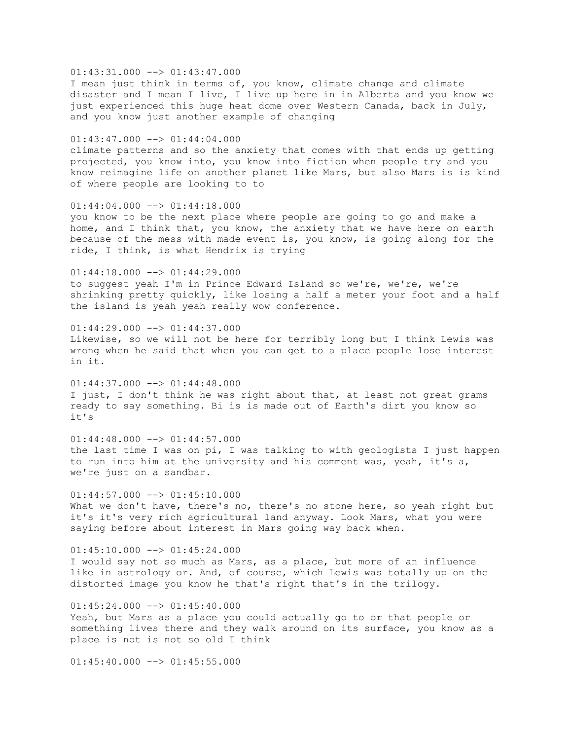$01:43:31.000$  -->  $01:43:47.000$ I mean just think in terms of, you know, climate change and climate disaster and I mean I live, I live up here in in Alberta and you know we just experienced this huge heat dome over Western Canada, back in July, and you know just another example of changing  $01:43:47.000$  -->  $01:44:04.000$ climate patterns and so the anxiety that comes with that ends up getting projected, you know into, you know into fiction when people try and you know reimagine life on another planet like Mars, but also Mars is is kind of where people are looking to to  $01:44:04.000$  -->  $01:44:18.000$ you know to be the next place where people are going to go and make a home, and I think that, you know, the anxiety that we have here on earth because of the mess with made event is, you know, is going along for the ride, I think, is what Hendrix is trying 01:44:18.000 --> 01:44:29.000 to suggest yeah I'm in Prince Edward Island so we're, we're, we're shrinking pretty quickly, like losing a half a meter your foot and a half the island is yeah yeah really wow conference. 01:44:29.000 --> 01:44:37.000 Likewise, so we will not be here for terribly long but I think Lewis was wrong when he said that when you can get to a place people lose interest in it.  $01:44:37.000$  -->  $01:44:48.000$ I just, I don't think he was right about that, at least not great grams ready to say something. Bi is is made out of Earth's dirt you know so it's  $01:44:48.000$   $\longrightarrow$   $01:44:57.000$ the last time I was on pi, I was talking to with geologists I just happen to run into him at the university and his comment was, yeah, it's a, we're just on a sandbar.  $01:44:57.000$  -->  $01:45:10.000$ What we don't have, there's no, there's no stone here, so yeah right but it's it's very rich agricultural land anyway. Look Mars, what you were saying before about interest in Mars going way back when.  $01:45:10.000$  -->  $01:45:24.000$ I would say not so much as Mars, as a place, but more of an influence like in astrology or. And, of course, which Lewis was totally up on the distorted image you know he that's right that's in the trilogy.  $01:45:24.000$  -->  $01:45:40.000$ Yeah, but Mars as a place you could actually go to or that people or something lives there and they walk around on its surface, you know as a place is not is not so old I think  $01:45:40.000$   $\rightarrow$   $01:45:55.000$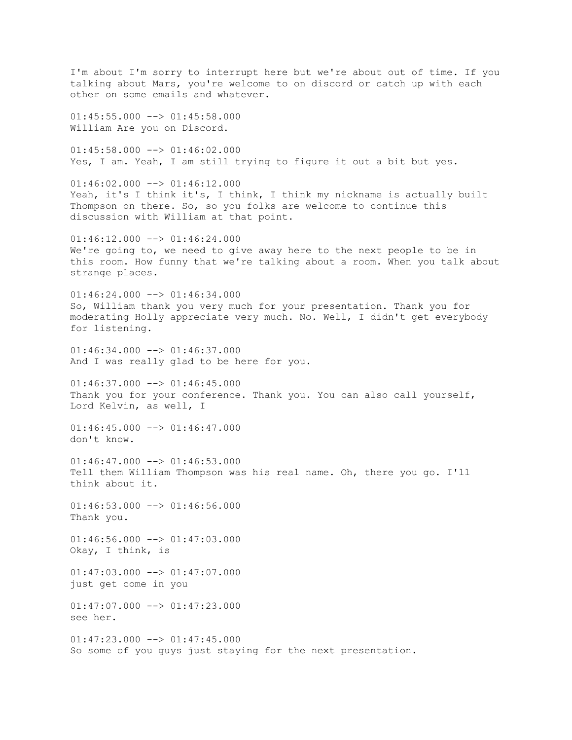I'm about I'm sorry to interrupt here but we're about out of time. If you talking about Mars, you're welcome to on discord or catch up with each other on some emails and whatever.  $01:45:55.000$  -->  $01:45:58.000$ William Are you on Discord. 01:45:58.000 --> 01:46:02.000 Yes, I am. Yeah, I am still trying to figure it out a bit but yes.  $01:46:02.000$  -->  $01:46:12.000$ Yeah, it's I think it's, I think, I think my nickname is actually built Thompson on there. So, so you folks are welcome to continue this discussion with William at that point.  $01:46:12.000$  -->  $01:46:24.000$ We're going to, we need to give away here to the next people to be in this room. How funny that we're talking about a room. When you talk about strange places.  $01:46:24.000$  -->  $01:46:34.000$ So, William thank you very much for your presentation. Thank you for moderating Holly appreciate very much. No. Well, I didn't get everybody for listening.  $01:46:34.000$  -->  $01:46:37.000$ And I was really glad to be here for you.  $01:46:37.000$  -->  $01:46:45.000$ Thank you for your conference. Thank you. You can also call yourself, Lord Kelvin, as well, I  $01:46:45.000$  -->  $01:46:47.000$ don't know.  $01:46:47.000$  -->  $01:46:53.000$ Tell them William Thompson was his real name. Oh, there you go. I'll think about it.  $01:46:53.000$  -->  $01:46:56.000$ Thank you.  $01:46:56.000$  -->  $01:47:03.000$ Okay, I think, is  $01:47:03.000$  -->  $01:47:07.000$ just get come in you  $01:47:07.000$  -->  $01:47:23.000$ see her.  $01:47:23.000$   $\rightarrow$   $01:47:45.000$ So some of you guys just staying for the next presentation.